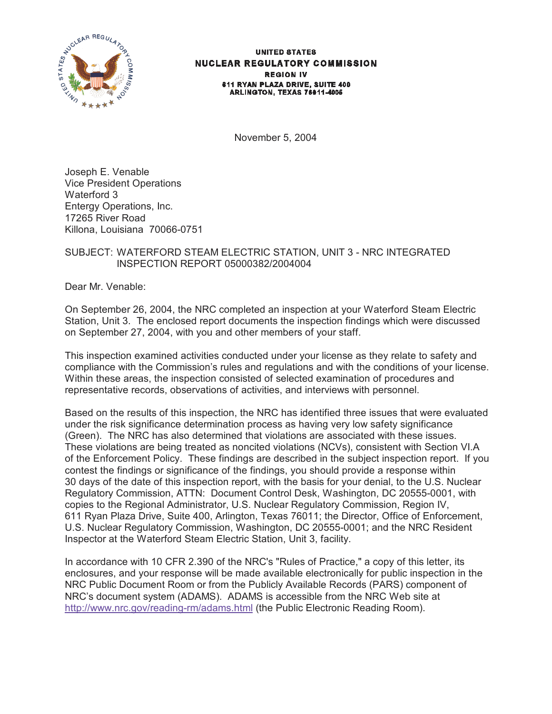

#### **UNITED STATES NUCLEAR REGULATORY COMMISSION REGION IV** 611 RYAN PLAZA DRIVE, SUITE 400 ARLINGTON, TEXAS 76011-4005

November 5, 2004

Joseph E. Venable Vice President Operations Waterford 3 Entergy Operations, Inc. 17265 River Road Killona, Louisiana 70066-0751

# SUBJECT: WATERFORD STEAM ELECTRIC STATION, UNIT 3 - NRC INTEGRATED INSPECTION REPORT 05000382/2004004

Dear Mr. Venable:

On September 26, 2004, the NRC completed an inspection at your Waterford Steam Electric Station, Unit 3. The enclosed report documents the inspection findings which were discussed on September 27, 2004, with you and other members of your staff.

This inspection examined activities conducted under your license as they relate to safety and compliance with the Commission's rules and regulations and with the conditions of your license. Within these areas, the inspection consisted of selected examination of procedures and representative records, observations of activities, and interviews with personnel.

Based on the results of this inspection, the NRC has identified three issues that were evaluated under the risk significance determination process as having very low safety significance (Green). The NRC has also determined that violations are associated with these issues. These violations are being treated as noncited violations (NCVs), consistent with Section VI.A of the Enforcement Policy. These findings are described in the subject inspection report. If you contest the findings or significance of the findings, you should provide a response within 30 days of the date of this inspection report, with the basis for your denial, to the U.S. Nuclear Regulatory Commission, ATTN: Document Control Desk, Washington, DC 20555-0001, with copies to the Regional Administrator, U.S. Nuclear Regulatory Commission, Region IV, 611 Ryan Plaza Drive, Suite 400, Arlington, Texas 76011; the Director, Office of Enforcement, U.S. Nuclear Regulatory Commission, Washington, DC 20555-0001; and the NRC Resident Inspector at the Waterford Steam Electric Station, Unit 3, facility.

In accordance with 10 CFR 2.390 of the NRC's "Rules of Practice," a copy of this letter, its enclosures, and your response will be made available electronically for public inspection in the NRC Public Document Room or from the Publicly Available Records (PARS) component of NRC's document system (ADAMS). ADAMS is accessible from the NRC Web site at http://www.nrc.gov/reading-rm/adams.html (the Public Electronic Reading Room).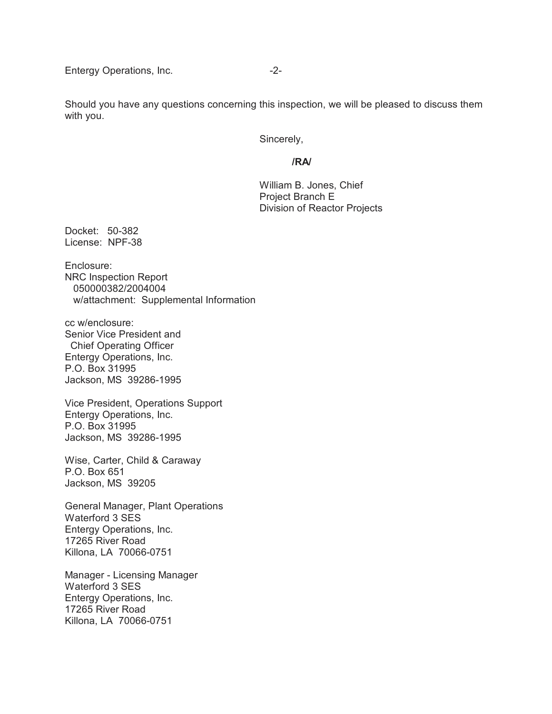Entergy Operations, Inc. **-2-**

Should you have any questions concerning this inspection, we will be pleased to discuss them with you.

Sincerely,

### **/RA/**

William B. Jones, Chief Project Branch E Division of Reactor Projects

Docket: 50-382 License: NPF-38

Enclosure: NRC Inspection Report 050000382/2004004 w/attachment: Supplemental Information

cc w/enclosure: Senior Vice President and Chief Operating Officer Entergy Operations, Inc. P.O. Box 31995 Jackson, MS 39286-1995

Vice President, Operations Support Entergy Operations, Inc. P.O. Box 31995 Jackson, MS 39286-1995

Wise, Carter, Child & Caraway P.O. Box 651 Jackson, MS 39205

General Manager, Plant Operations Waterford 3 SES Entergy Operations, Inc. 17265 River Road Killona, LA 70066-0751

Manager - Licensing Manager Waterford 3 SES Entergy Operations, Inc. 17265 River Road Killona, LA 70066-0751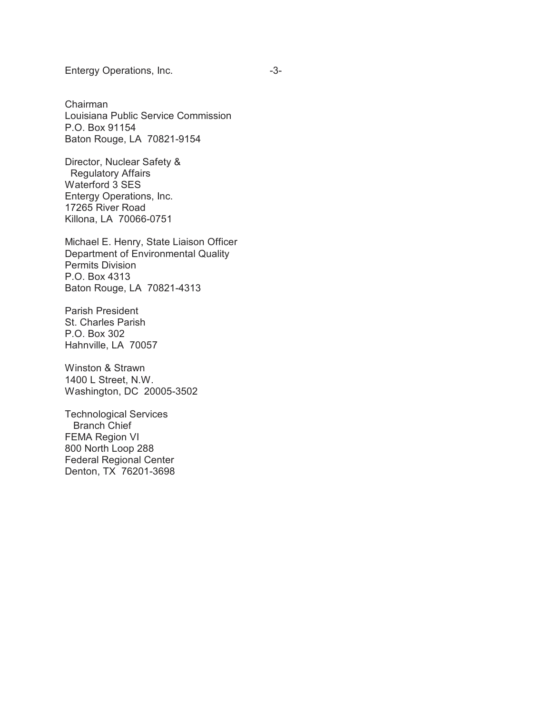Entergy Operations, Inc. **Entergy Operations**, Inc.

Chairman Louisiana Public Service Commission P.O. Box 91154 Baton Rouge, LA 70821-9154

Director, Nuclear Safety & Regulatory Affairs Waterford 3 SES Entergy Operations, Inc. 17265 River Road Killona, LA 70066-0751

Michael E. Henry, State Liaison Officer Department of Environmental Quality Permits Division P.O. Box 4313 Baton Rouge, LA 70821-4313

Parish President St. Charles Parish P.O. Box 302 Hahnville, LA 70057

Winston & Strawn 1400 L Street, N.W. Washington, DC 20005-3502

Technological Services Branch Chief FEMA Region VI 800 North Loop 288 Federal Regional Center Denton, TX 76201-3698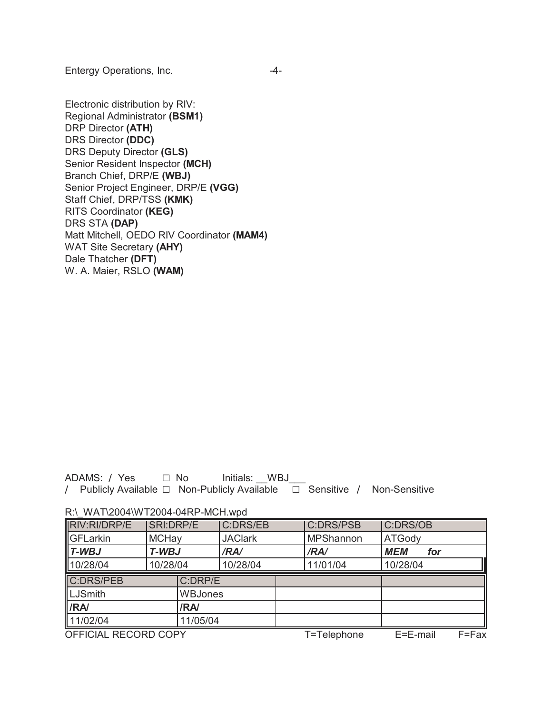Entergy Operations, Inc. **-4-**

Electronic distribution by RIV: Regional Administrator **(BSM1)** DRP Director **(ATH)** DRS Director **(DDC)** DRS Deputy Director **(GLS)** Senior Resident Inspector **(MCH)** Branch Chief, DRP/E **(WBJ)** Senior Project Engineer, DRP/E **(VGG)** Staff Chief, DRP/TSS **(KMK)** RITS Coordinator **(KEG)** DRS STA **(DAP)** Matt Mitchell, OEDO RIV Coordinator **(MAM4)** WAT Site Secretary **(AHY)** Dale Thatcher **(DFT)** W. A. Maier, RSLO **(WAM)**

ADAMS: / Yes  $\Box$  No Initials: WBJ / Publicly Available □ Non-Publicly Available □ Sensitive / Non-Sensitive

| <b>RIV:RI/DRP/E</b>  | <b>SRI:DRP/E</b> |                | <b>C:DRS/EB</b> |           | <b>C:DRS/PSB</b> | <b>C:DRS/OB</b> |       |
|----------------------|------------------|----------------|-----------------|-----------|------------------|-----------------|-------|
| <b>GFLarkin</b>      | <b>MCHay</b>     |                | <b>JAClark</b>  | MPShannon |                  | ATGody          |       |
| $\blacksquare$ T-WBJ | T-WBJ            |                | /RA/            |           | /RA/             | <b>MEM</b>      | for   |
| 10/28/04             | 10/28/04         |                | 10/28/04        |           | 11/01/04         | 10/28/04        |       |
| C:DRS/PEB            |                  | C:DRP/E        |                 |           |                  |                 |       |
| LJSmith              |                  | <b>WBJones</b> |                 |           |                  |                 |       |
| <b>IRA</b>           |                  | /RA/           |                 |           |                  |                 |       |
| 11/02/04             |                  | 11/05/04       |                 |           |                  |                 |       |
| OFFICIAL RECORD COPY |                  |                |                 |           | T=Telephone      | E=E-mail        | F=Fax |

R:\\_WAT\2004\WT2004-04RP-MCH.wpd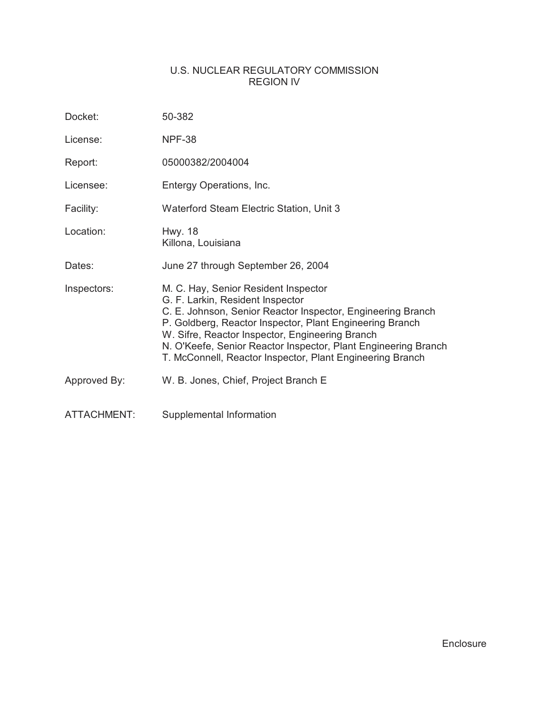# U.S. NUCLEAR REGULATORY COMMISSION REGION IV

| Docket:            | 50-382                                                                                                                                                                                                                                                                                                                                                                                |
|--------------------|---------------------------------------------------------------------------------------------------------------------------------------------------------------------------------------------------------------------------------------------------------------------------------------------------------------------------------------------------------------------------------------|
| License:           | <b>NPF-38</b>                                                                                                                                                                                                                                                                                                                                                                         |
| Report:            | 05000382/2004004                                                                                                                                                                                                                                                                                                                                                                      |
| Licensee:          | Entergy Operations, Inc.                                                                                                                                                                                                                                                                                                                                                              |
| Facility:          | Waterford Steam Electric Station, Unit 3                                                                                                                                                                                                                                                                                                                                              |
| Location:          | <b>Hwy. 18</b><br>Killona, Louisiana                                                                                                                                                                                                                                                                                                                                                  |
| Dates:             | June 27 through September 26, 2004                                                                                                                                                                                                                                                                                                                                                    |
| Inspectors:        | M. C. Hay, Senior Resident Inspector<br>G. F. Larkin, Resident Inspector<br>C. E. Johnson, Senior Reactor Inspector, Engineering Branch<br>P. Goldberg, Reactor Inspector, Plant Engineering Branch<br>W. Sifre, Reactor Inspector, Engineering Branch<br>N. O'Keefe, Senior Reactor Inspector, Plant Engineering Branch<br>T. McConnell, Reactor Inspector, Plant Engineering Branch |
| Approved By:       | W. B. Jones, Chief, Project Branch E                                                                                                                                                                                                                                                                                                                                                  |
| <b>ATTACHMENT:</b> | Supplemental Information                                                                                                                                                                                                                                                                                                                                                              |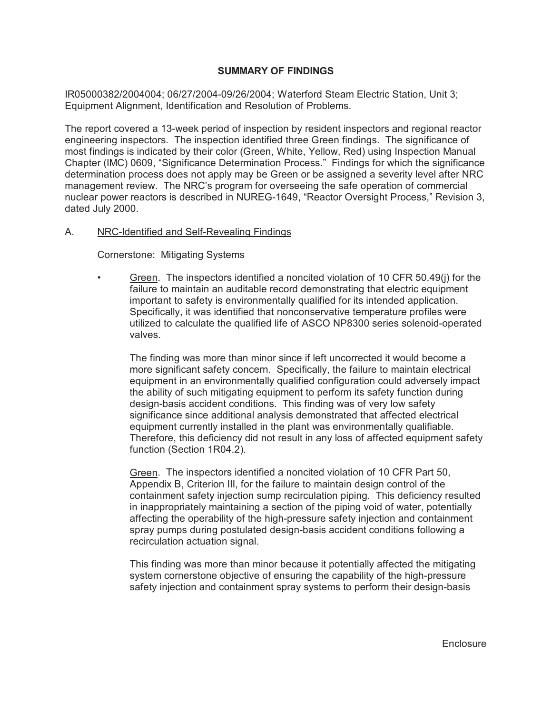## **SUMMARY OF FINDINGS**

IR05000382/2004004; 06/27/2004-09/26/2004; Waterford Steam Electric Station, Unit 3; Equipment Alignment, Identification and Resolution of Problems.

The report covered a 13-week period of inspection by resident inspectors and regional reactor engineering inspectors. The inspection identified three Green findings. The significance of most findings is indicated by their color (Green, White, Yellow, Red) using Inspection Manual Chapter (IMC) 0609, "Significance Determination Process." Findings for which the significance determination process does not apply may be Green or be assigned a severity level after NRC management review. The NRC's program for overseeing the safe operation of commercial nuclear power reactors is described in NUREG-1649, "Reactor Oversight Process," Revision 3, dated July 2000.

## A. NRC-Identified and Self-Revealing Findings

Cornerstone: Mitigating Systems

• Green. The inspectors identified a noncited violation of 10 CFR 50.49(j) for the failure to maintain an auditable record demonstrating that electric equipment important to safety is environmentally qualified for its intended application. Specifically, it was identified that nonconservative temperature profiles were utilized to calculate the qualified life of ASCO NP8300 series solenoid-operated valves.

The finding was more than minor since if left uncorrected it would become a more significant safety concern. Specifically, the failure to maintain electrical equipment in an environmentally qualified configuration could adversely impact the ability of such mitigating equipment to perform its safety function during design-basis accident conditions. This finding was of very low safety significance since additional analysis demonstrated that affected electrical equipment currently installed in the plant was environmentally qualifiable. Therefore, this deficiency did not result in any loss of affected equipment safety function (Section 1R04.2).

Green. The inspectors identified a noncited violation of 10 CFR Part 50, Appendix B, Criterion III, for the failure to maintain design control of the containment safety injection sump recirculation piping. This deficiency resulted in inappropriately maintaining a section of the piping void of water, potentially affecting the operability of the high-pressure safety injection and containment spray pumps during postulated design-basis accident conditions following a recirculation actuation signal.

This finding was more than minor because it potentially affected the mitigating system cornerstone objective of ensuring the capability of the high-pressure safety injection and containment spray systems to perform their design-basis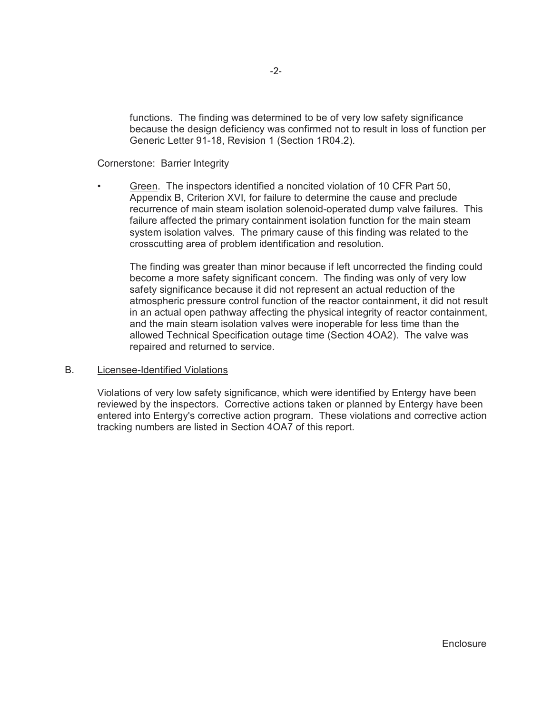functions. The finding was determined to be of very low safety significance because the design deficiency was confirmed not to result in loss of function per Generic Letter 91-18, Revision 1 (Section 1R04.2).

### Cornerstone: Barrier Integrity

• Green. The inspectors identified a noncited violation of 10 CFR Part 50, Appendix B, Criterion XVI, for failure to determine the cause and preclude recurrence of main steam isolation solenoid-operated dump valve failures. This failure affected the primary containment isolation function for the main steam system isolation valves. The primary cause of this finding was related to the crosscutting area of problem identification and resolution.

The finding was greater than minor because if left uncorrected the finding could become a more safety significant concern. The finding was only of very low safety significance because it did not represent an actual reduction of the atmospheric pressure control function of the reactor containment, it did not result in an actual open pathway affecting the physical integrity of reactor containment, and the main steam isolation valves were inoperable for less time than the allowed Technical Specification outage time (Section 4OA2). The valve was repaired and returned to service.

### B. Licensee-Identified Violations

Violations of very low safety significance, which were identified by Entergy have been reviewed by the inspectors. Corrective actions taken or planned by Entergy have been entered into Entergy's corrective action program. These violations and corrective action tracking numbers are listed in Section 4OA7 of this report.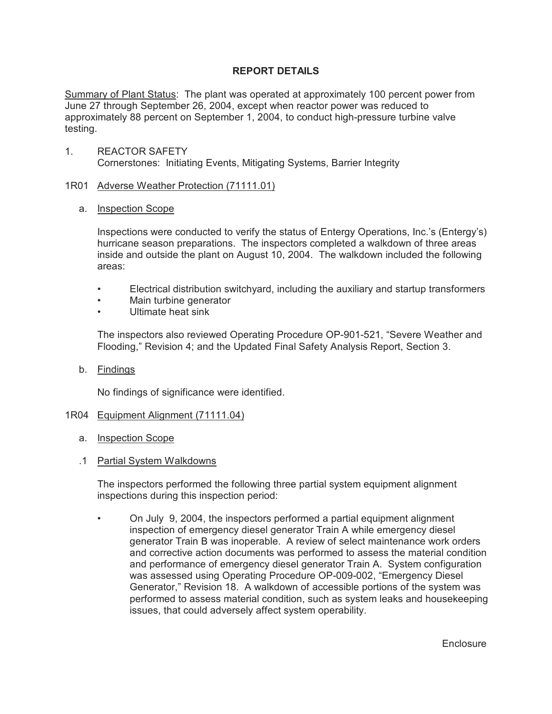# **REPORT DETAILS**

Summary of Plant Status: The plant was operated at approximately 100 percent power from June 27 through September 26, 2004, except when reactor power was reduced to approximately 88 percent on September 1, 2004, to conduct high-pressure turbine valve testing.

1. REACTOR SAFETY Cornerstones: Initiating Events, Mitigating Systems, Barrier Integrity

## 1R01 Adverse Weather Protection (71111.01)

a. Inspection Scope

Inspections were conducted to verify the status of Entergy Operations, Inc.'s (Entergy's) hurricane season preparations. The inspectors completed a walkdown of three areas inside and outside the plant on August 10, 2004. The walkdown included the following areas:

- Electrical distribution switchyard, including the auxiliary and startup transformers
- Main turbine generator
- Ultimate heat sink

The inspectors also reviewed Operating Procedure OP-901-521, "Severe Weather and Flooding," Revision 4; and the Updated Final Safety Analysis Report, Section 3.

b. Findings

No findings of significance were identified.

### 1R04 Equipment Alignment (71111.04)

- a. Inspection Scope
- .1 Partial System Walkdowns

The inspectors performed the following three partial system equipment alignment inspections during this inspection period:

• On July 9, 2004, the inspectors performed a partial equipment alignment inspection of emergency diesel generator Train A while emergency diesel generator Train B was inoperable. A review of select maintenance work orders and corrective action documents was performed to assess the material condition and performance of emergency diesel generator Train A. System configuration was assessed using Operating Procedure OP-009-002, "Emergency Diesel Generator," Revision 18. A walkdown of accessible portions of the system was performed to assess material condition, such as system leaks and housekeeping issues, that could adversely affect system operability.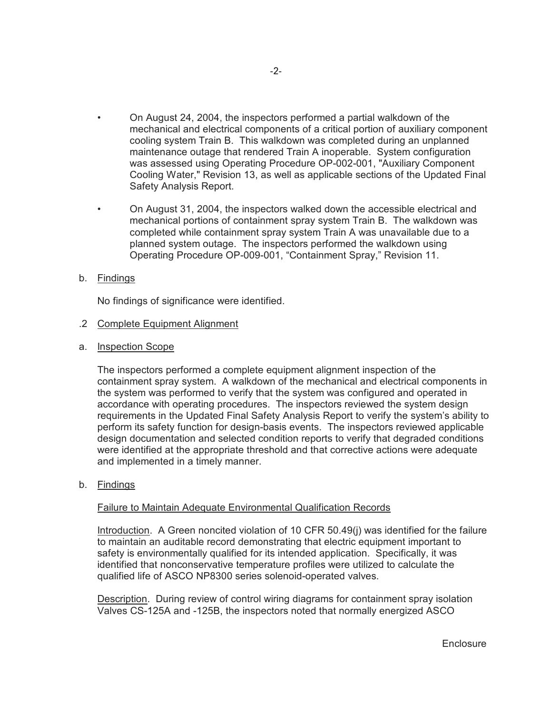- On August 24, 2004, the inspectors performed a partial walkdown of the mechanical and electrical components of a critical portion of auxiliary component cooling system Train B. This walkdown was completed during an unplanned maintenance outage that rendered Train A inoperable. System configuration was assessed using Operating Procedure OP-002-001, "Auxiliary Component Cooling Water," Revision 13, as well as applicable sections of the Updated Final Safety Analysis Report.
- On August 31, 2004, the inspectors walked down the accessible electrical and mechanical portions of containment spray system Train B. The walkdown was completed while containment spray system Train A was unavailable due to a planned system outage. The inspectors performed the walkdown using Operating Procedure OP-009-001, "Containment Spray," Revision 11.

## b. Findings

No findings of significance were identified.

## .2 Complete Equipment Alignment

a. Inspection Scope

The inspectors performed a complete equipment alignment inspection of the containment spray system. A walkdown of the mechanical and electrical components in the system was performed to verify that the system was configured and operated in accordance with operating procedures. The inspectors reviewed the system design requirements in the Updated Final Safety Analysis Report to verify the system's ability to perform its safety function for design-basis events. The inspectors reviewed applicable design documentation and selected condition reports to verify that degraded conditions were identified at the appropriate threshold and that corrective actions were adequate and implemented in a timely manner.

b. Findings

### Failure to Maintain Adequate Environmental Qualification Records

Introduction. A Green noncited violation of 10 CFR 50.49(j) was identified for the failure to maintain an auditable record demonstrating that electric equipment important to safety is environmentally qualified for its intended application. Specifically, it was identified that nonconservative temperature profiles were utilized to calculate the qualified life of ASCO NP8300 series solenoid-operated valves.

Description. During review of control wiring diagrams for containment spray isolation Valves CS-125A and -125B, the inspectors noted that normally energized ASCO

**Enclosure**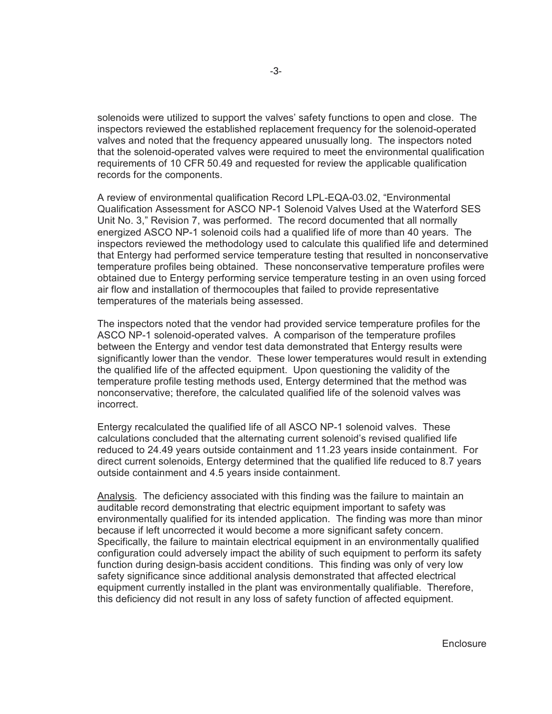solenoids were utilized to support the valves' safety functions to open and close. The inspectors reviewed the established replacement frequency for the solenoid-operated valves and noted that the frequency appeared unusually long. The inspectors noted that the solenoid-operated valves were required to meet the environmental qualification requirements of 10 CFR 50.49 and requested for review the applicable qualification records for the components.

A review of environmental qualification Record LPL-EQA-03.02, "Environmental Qualification Assessment for ASCO NP-1 Solenoid Valves Used at the Waterford SES Unit No. 3," Revision 7, was performed. The record documented that all normally energized ASCO NP-1 solenoid coils had a qualified life of more than 40 years. The inspectors reviewed the methodology used to calculate this qualified life and determined that Entergy had performed service temperature testing that resulted in nonconservative temperature profiles being obtained. These nonconservative temperature profiles were obtained due to Entergy performing service temperature testing in an oven using forced air flow and installation of thermocouples that failed to provide representative temperatures of the materials being assessed.

The inspectors noted that the vendor had provided service temperature profiles for the ASCO NP-1 solenoid-operated valves. A comparison of the temperature profiles between the Entergy and vendor test data demonstrated that Entergy results were significantly lower than the vendor. These lower temperatures would result in extending the qualified life of the affected equipment. Upon questioning the validity of the temperature profile testing methods used, Entergy determined that the method was nonconservative; therefore, the calculated qualified life of the solenoid valves was incorrect.

Entergy recalculated the qualified life of all ASCO NP-1 solenoid valves. These calculations concluded that the alternating current solenoid's revised qualified life reduced to 24.49 years outside containment and 11.23 years inside containment. For direct current solenoids, Entergy determined that the qualified life reduced to 8.7 years outside containment and 4.5 years inside containment.

Analysis. The deficiency associated with this finding was the failure to maintain an auditable record demonstrating that electric equipment important to safety was environmentally qualified for its intended application. The finding was more than minor because if left uncorrected it would become a more significant safety concern. Specifically, the failure to maintain electrical equipment in an environmentally qualified configuration could adversely impact the ability of such equipment to perform its safety function during design-basis accident conditions. This finding was only of very low safety significance since additional analysis demonstrated that affected electrical equipment currently installed in the plant was environmentally qualifiable. Therefore, this deficiency did not result in any loss of safety function of affected equipment.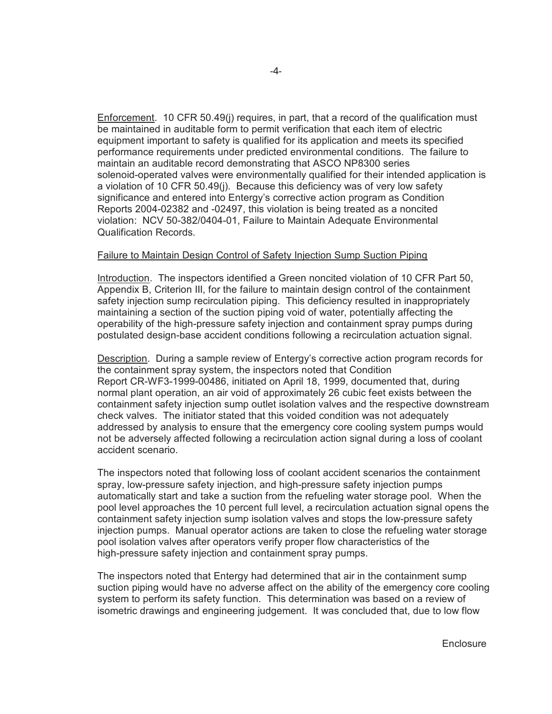Enforcement. 10 CFR 50.49(j) requires, in part, that a record of the qualification must be maintained in auditable form to permit verification that each item of electric equipment important to safety is qualified for its application and meets its specified performance requirements under predicted environmental conditions. The failure to maintain an auditable record demonstrating that ASCO NP8300 series solenoid-operated valves were environmentally qualified for their intended application is a violation of 10 CFR 50.49(j). Because this deficiency was of very low safety significance and entered into Entergy's corrective action program as Condition Reports 2004-02382 and -02497, this violation is being treated as a noncited violation: NCV 50-382/0404-01, Failure to Maintain Adequate Environmental Qualification Records.

### Failure to Maintain Design Control of Safety Injection Sump Suction Piping

Introduction. The inspectors identified a Green noncited violation of 10 CFR Part 50, Appendix B, Criterion III, for the failure to maintain design control of the containment safety injection sump recirculation piping. This deficiency resulted in inappropriately maintaining a section of the suction piping void of water, potentially affecting the operability of the high-pressure safety injection and containment spray pumps during postulated design-base accident conditions following a recirculation actuation signal.

Description. During a sample review of Entergy's corrective action program records for the containment spray system, the inspectors noted that Condition Report CR-WF3-1999-00486, initiated on April 18, 1999, documented that, during normal plant operation, an air void of approximately 26 cubic feet exists between the containment safety injection sump outlet isolation valves and the respective downstream check valves. The initiator stated that this voided condition was not adequately addressed by analysis to ensure that the emergency core cooling system pumps would not be adversely affected following a recirculation action signal during a loss of coolant accident scenario.

The inspectors noted that following loss of coolant accident scenarios the containment spray, low-pressure safety injection, and high-pressure safety injection pumps automatically start and take a suction from the refueling water storage pool. When the pool level approaches the 10 percent full level, a recirculation actuation signal opens the containment safety injection sump isolation valves and stops the low-pressure safety injection pumps. Manual operator actions are taken to close the refueling water storage pool isolation valves after operators verify proper flow characteristics of the high-pressure safety injection and containment spray pumps.

The inspectors noted that Entergy had determined that air in the containment sump suction piping would have no adverse affect on the ability of the emergency core cooling system to perform its safety function. This determination was based on a review of isometric drawings and engineering judgement. It was concluded that, due to low flow

**Enclosure**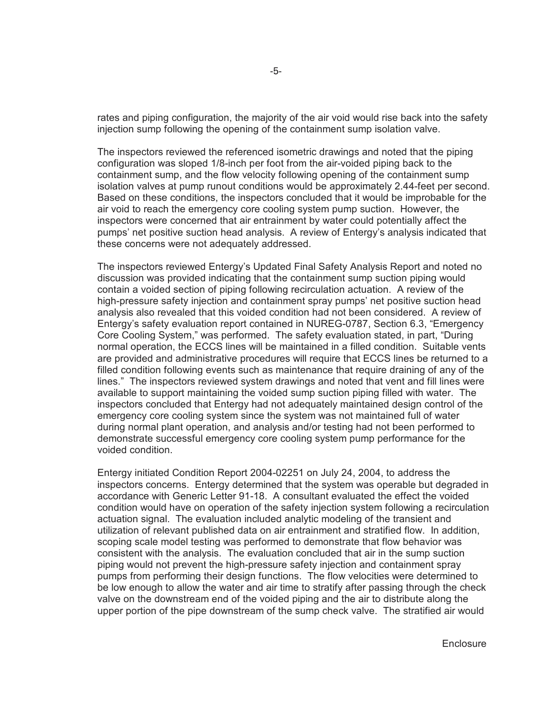rates and piping configuration, the majority of the air void would rise back into the safety injection sump following the opening of the containment sump isolation valve.

The inspectors reviewed the referenced isometric drawings and noted that the piping configuration was sloped 1/8-inch per foot from the air-voided piping back to the containment sump, and the flow velocity following opening of the containment sump isolation valves at pump runout conditions would be approximately 2.44-feet per second. Based on these conditions, the inspectors concluded that it would be improbable for the air void to reach the emergency core cooling system pump suction. However, the inspectors were concerned that air entrainment by water could potentially affect the pumps' net positive suction head analysis. A review of Entergy's analysis indicated that these concerns were not adequately addressed.

The inspectors reviewed Entergy's Updated Final Safety Analysis Report and noted no discussion was provided indicating that the containment sump suction piping would contain a voided section of piping following recirculation actuation. A review of the high-pressure safety injection and containment spray pumps' net positive suction head analysis also revealed that this voided condition had not been considered. A review of Entergy's safety evaluation report contained in NUREG-0787, Section 6.3, "Emergency Core Cooling System," was performed. The safety evaluation stated, in part, "During normal operation, the ECCS lines will be maintained in a filled condition. Suitable vents are provided and administrative procedures will require that ECCS lines be returned to a filled condition following events such as maintenance that require draining of any of the lines." The inspectors reviewed system drawings and noted that vent and fill lines were available to support maintaining the voided sump suction piping filled with water. The inspectors concluded that Entergy had not adequately maintained design control of the emergency core cooling system since the system was not maintained full of water during normal plant operation, and analysis and/or testing had not been performed to demonstrate successful emergency core cooling system pump performance for the voided condition.

Entergy initiated Condition Report 2004-02251 on July 24, 2004, to address the inspectors concerns. Entergy determined that the system was operable but degraded in accordance with Generic Letter 91-18. A consultant evaluated the effect the voided condition would have on operation of the safety injection system following a recirculation actuation signal. The evaluation included analytic modeling of the transient and utilization of relevant published data on air entrainment and stratified flow. In addition, scoping scale model testing was performed to demonstrate that flow behavior was consistent with the analysis. The evaluation concluded that air in the sump suction piping would not prevent the high-pressure safety injection and containment spray pumps from performing their design functions. The flow velocities were determined to be low enough to allow the water and air time to stratify after passing through the check valve on the downstream end of the voided piping and the air to distribute along the upper portion of the pipe downstream of the sump check valve. The stratified air would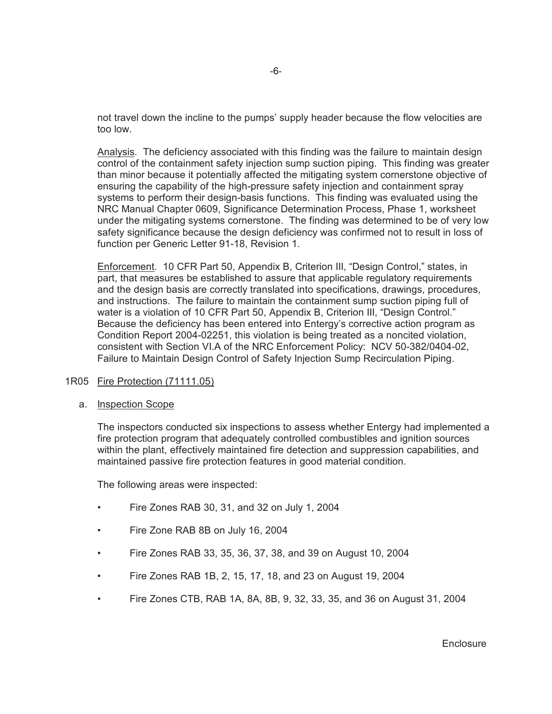not travel down the incline to the pumps' supply header because the flow velocities are too low.

Analysis. The deficiency associated with this finding was the failure to maintain design control of the containment safety injection sump suction piping. This finding was greater than minor because it potentially affected the mitigating system cornerstone objective of ensuring the capability of the high-pressure safety injection and containment spray systems to perform their design-basis functions. This finding was evaluated using the NRC Manual Chapter 0609, Significance Determination Process, Phase 1, worksheet under the mitigating systems cornerstone. The finding was determined to be of very low safety significance because the design deficiency was confirmed not to result in loss of function per Generic Letter 91-18, Revision 1.

Enforcement. 10 CFR Part 50, Appendix B, Criterion III, "Design Control," states, in part, that measures be established to assure that applicable regulatory requirements and the design basis are correctly translated into specifications, drawings, procedures, and instructions. The failure to maintain the containment sump suction piping full of water is a violation of 10 CFR Part 50, Appendix B, Criterion III, "Design Control." Because the deficiency has been entered into Entergy's corrective action program as Condition Report 2004-02251, this violation is being treated as a noncited violation, consistent with Section VI.A of the NRC Enforcement Policy: NCV 50-382/0404-02, Failure to Maintain Design Control of Safety Injection Sump Recirculation Piping.

### 1R05 Fire Protection (71111.05)

a. Inspection Scope

The inspectors conducted six inspections to assess whether Entergy had implemented a fire protection program that adequately controlled combustibles and ignition sources within the plant, effectively maintained fire detection and suppression capabilities, and maintained passive fire protection features in good material condition.

The following areas were inspected:

- Fire Zones RAB 30, 31, and 32 on July 1, 2004
- Fire Zone RAB 8B on July 16, 2004
- Fire Zones RAB 33, 35, 36, 37, 38, and 39 on August 10, 2004
- Fire Zones RAB 1B, 2, 15, 17, 18, and 23 on August 19, 2004
- Fire Zones CTB, RAB 1A, 8A, 8B, 9, 32, 33, 35, and 36 on August 31, 2004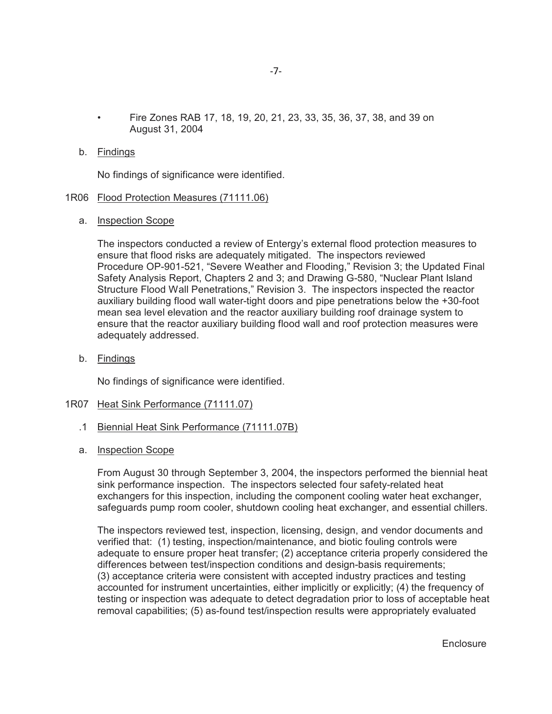• Fire Zones RAB 17, 18, 19, 20, 21, 23, 33, 35, 36, 37, 38, and 39 on August 31, 2004

### b. Findings

No findings of significance were identified.

### 1R06 Flood Protection Measures (71111.06)

a. Inspection Scope

The inspectors conducted a review of Entergy's external flood protection measures to ensure that flood risks are adequately mitigated. The inspectors reviewed Procedure OP-901-521, "Severe Weather and Flooding," Revision 3; the Updated Final Safety Analysis Report, Chapters 2 and 3; and Drawing G-580, "Nuclear Plant Island Structure Flood Wall Penetrations," Revision 3. The inspectors inspected the reactor auxiliary building flood wall water-tight doors and pipe penetrations below the +30-foot mean sea level elevation and the reactor auxiliary building roof drainage system to ensure that the reactor auxiliary building flood wall and roof protection measures were adequately addressed.

b. Findings

No findings of significance were identified.

#### 1R07 Heat Sink Performance (71111.07)

- .1 Biennial Heat Sink Performance (71111.07B)
- a. Inspection Scope

From August 30 through September 3, 2004, the inspectors performed the biennial heat sink performance inspection. The inspectors selected four safety-related heat exchangers for this inspection, including the component cooling water heat exchanger, safeguards pump room cooler, shutdown cooling heat exchanger, and essential chillers.

The inspectors reviewed test, inspection, licensing, design, and vendor documents and verified that: (1) testing, inspection/maintenance, and biotic fouling controls were adequate to ensure proper heat transfer; (2) acceptance criteria properly considered the differences between test/inspection conditions and design-basis requirements; (3) acceptance criteria were consistent with accepted industry practices and testing accounted for instrument uncertainties, either implicitly or explicitly; (4) the frequency of testing or inspection was adequate to detect degradation prior to loss of acceptable heat removal capabilities; (5) as-found test/inspection results were appropriately evaluated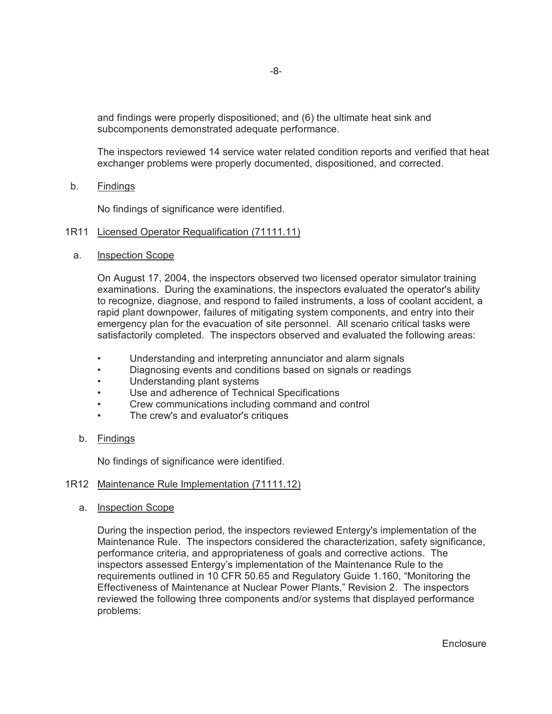and findings were properly dispositioned; and (6) the ultimate heat sink and subcomponents demonstrated adequate performance.

The inspectors reviewed 14 service water related condition reports and verified that heat exchanger problems were properly documented, dispositioned, and corrected.

b. Findings

No findings of significance were identified.

### 1R11 Licensed Operator Requalification (71111.11)

a. Inspection Scope

On August 17, 2004, the inspectors observed two licensed operator simulator training examinations. During the examinations, the inspectors evaluated the operator's ability to recognize, diagnose, and respond to failed instruments, a loss of coolant accident, a rapid plant downpower, failures of mitigating system components, and entry into their emergency plan for the evacuation of site personnel. All scenario critical tasks were satisfactorily completed. The inspectors observed and evaluated the following areas:

- Understanding and interpreting annunciator and alarm signals
- Diagnosing events and conditions based on signals or readings
- Understanding plant systems
- Use and adherence of Technical Specifications
- Crew communications including command and control
- The crew's and evaluator's critiques
- b. Findings

No findings of significance were identified.

### 1R12 Maintenance Rule Implementation (71111.12)

a. Inspection Scope

During the inspection period, the inspectors reviewed Entergy's implementation of the Maintenance Rule. The inspectors considered the characterization, safety significance, performance criteria, and appropriateness of goals and corrective actions. The inspectors assessed Entergy's implementation of the Maintenance Rule to the requirements outlined in 10 CFR 50.65 and Regulatory Guide 1.160, "Monitoring the Effectiveness of Maintenance at Nuclear Power Plants," Revision 2. The inspectors reviewed the following three components and/or systems that displayed performance problems: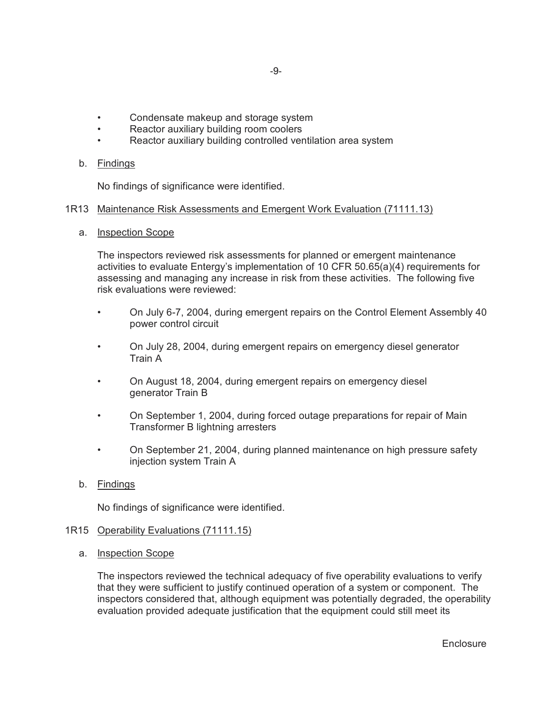- Condensate makeup and storage system
- Reactor auxiliary building room coolers
- Reactor auxiliary building controlled ventilation area system

### b. Findings

No findings of significance were identified.

### 1R13 Maintenance Risk Assessments and Emergent Work Evaluation (71111.13)

a. Inspection Scope

The inspectors reviewed risk assessments for planned or emergent maintenance activities to evaluate Entergy's implementation of 10 CFR 50.65(a)(4) requirements for assessing and managing any increase in risk from these activities. The following five risk evaluations were reviewed:

- On July 6-7, 2004, during emergent repairs on the Control Element Assembly 40 power control circuit
- On July 28, 2004, during emergent repairs on emergency diesel generator Train A
- On August 18, 2004, during emergent repairs on emergency diesel generator Train B
- On September 1, 2004, during forced outage preparations for repair of Main Transformer B lightning arresters
- On September 21, 2004, during planned maintenance on high pressure safety injection system Train A
- b. Findings

No findings of significance were identified.

### 1R15 Operability Evaluations (71111.15)

a. Inspection Scope

The inspectors reviewed the technical adequacy of five operability evaluations to verify that they were sufficient to justify continued operation of a system or component. The inspectors considered that, although equipment was potentially degraded, the operability evaluation provided adequate justification that the equipment could still meet its

**Enclosure**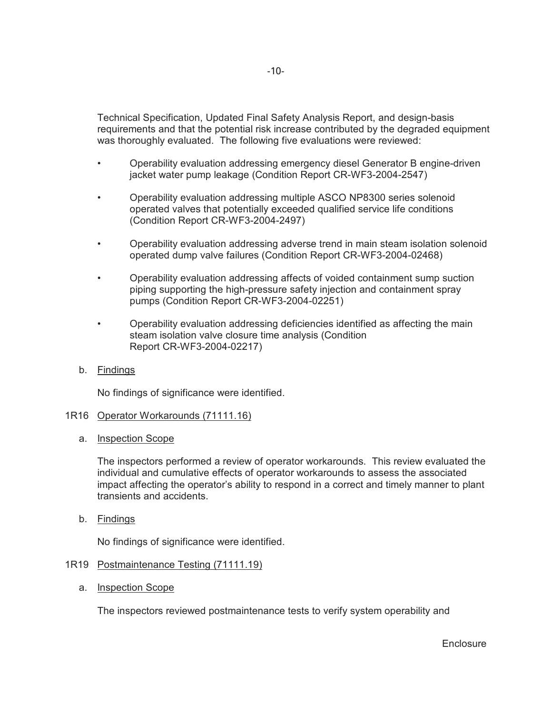Technical Specification, Updated Final Safety Analysis Report, and design-basis requirements and that the potential risk increase contributed by the degraded equipment was thoroughly evaluated. The following five evaluations were reviewed:

- Operability evaluation addressing emergency diesel Generator B engine-driven jacket water pump leakage (Condition Report CR-WF3-2004-2547)
- Operability evaluation addressing multiple ASCO NP8300 series solenoid operated valves that potentially exceeded qualified service life conditions (Condition Report CR-WF3-2004-2497)
- Operability evaluation addressing adverse trend in main steam isolation solenoid operated dump valve failures (Condition Report CR-WF3-2004-02468)
- Operability evaluation addressing affects of voided containment sump suction piping supporting the high-pressure safety injection and containment spray pumps (Condition Report CR-WF3-2004-02251)
- Operability evaluation addressing deficiencies identified as affecting the main steam isolation valve closure time analysis (Condition Report CR-WF3-2004-02217)
- b. Findings

No findings of significance were identified.

### 1R16 Operator Workarounds (71111.16)

a. Inspection Scope

The inspectors performed a review of operator workarounds. This review evaluated the individual and cumulative effects of operator workarounds to assess the associated impact affecting the operator's ability to respond in a correct and timely manner to plant transients and accidents.

b. Findings

No findings of significance were identified.

### 1R19 Postmaintenance Testing (71111.19)

a. Inspection Scope

The inspectors reviewed postmaintenance tests to verify system operability and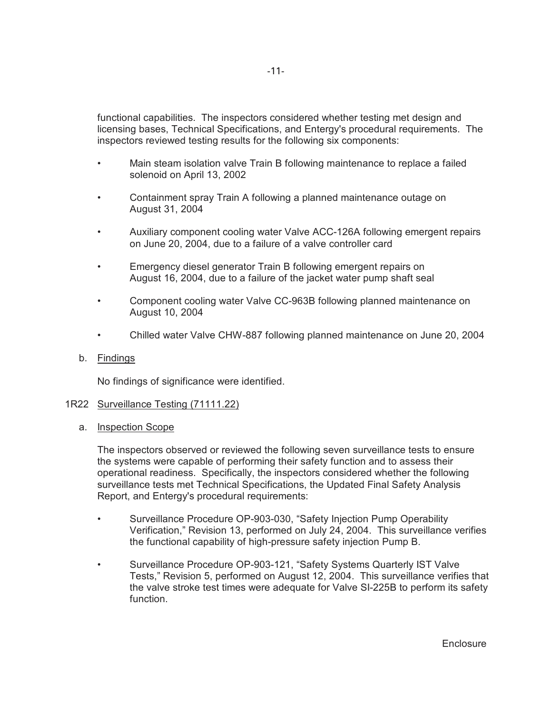functional capabilities. The inspectors considered whether testing met design and licensing bases, Technical Specifications, and Entergy's procedural requirements. The inspectors reviewed testing results for the following six components:

- Main steam isolation valve Train B following maintenance to replace a failed solenoid on April 13, 2002
- Containment spray Train A following a planned maintenance outage on August 31, 2004
- Auxiliary component cooling water Valve ACC-126A following emergent repairs on June 20, 2004, due to a failure of a valve controller card
- Emergency diesel generator Train B following emergent repairs on August 16, 2004, due to a failure of the jacket water pump shaft seal
- Component cooling water Valve CC-963B following planned maintenance on August 10, 2004
- Chilled water Valve CHW-887 following planned maintenance on June 20, 2004
- b. Findings

No findings of significance were identified.

- 1R22 Surveillance Testing (71111.22)
	- a. Inspection Scope

The inspectors observed or reviewed the following seven surveillance tests to ensure the systems were capable of performing their safety function and to assess their operational readiness. Specifically, the inspectors considered whether the following surveillance tests met Technical Specifications, the Updated Final Safety Analysis Report, and Entergy's procedural requirements:

- Surveillance Procedure OP-903-030, "Safety Injection Pump Operability Verification," Revision 13, performed on July 24, 2004. This surveillance verifies the functional capability of high-pressure safety injection Pump B.
- Surveillance Procedure OP-903-121, "Safety Systems Quarterly IST Valve Tests," Revision 5, performed on August 12, 2004. This surveillance verifies that the valve stroke test times were adequate for Valve SI-225B to perform its safety function.

**Enclosure**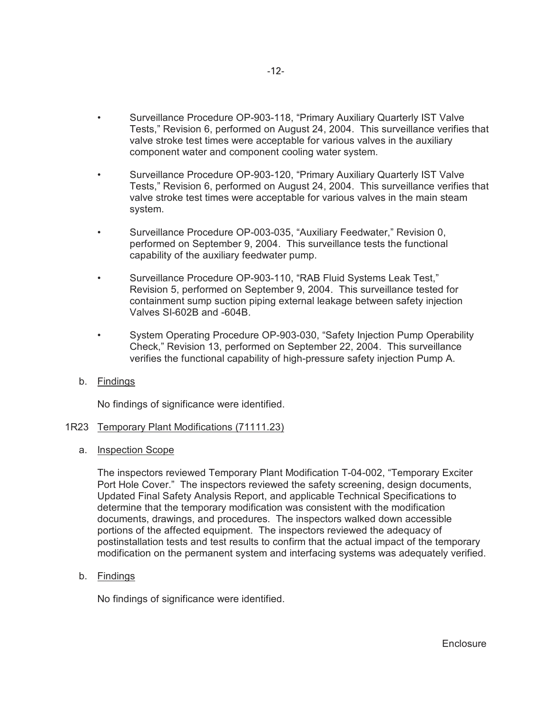- Surveillance Procedure OP-903-118, "Primary Auxiliary Quarterly IST Valve Tests," Revision 6, performed on August 24, 2004. This surveillance verifies that valve stroke test times were acceptable for various valves in the auxiliary component water and component cooling water system.
- Surveillance Procedure OP-903-120, "Primary Auxiliary Quarterly IST Valve Tests," Revision 6, performed on August 24, 2004. This surveillance verifies that valve stroke test times were acceptable for various valves in the main steam system.
- Surveillance Procedure OP-003-035, "Auxiliary Feedwater," Revision 0, performed on September 9, 2004. This surveillance tests the functional capability of the auxiliary feedwater pump.
- Surveillance Procedure OP-903-110, "RAB Fluid Systems Leak Test," Revision 5, performed on September 9, 2004. This surveillance tested for containment sump suction piping external leakage between safety injection Valves SI-602B and -604B.
- System Operating Procedure OP-903-030, "Safety Injection Pump Operability Check," Revision 13, performed on September 22, 2004. This surveillance verifies the functional capability of high-pressure safety injection Pump A.
- b. Findings

No findings of significance were identified.

### 1R23 Temporary Plant Modifications (71111.23)

a. Inspection Scope

The inspectors reviewed Temporary Plant Modification T-04-002, "Temporary Exciter Port Hole Cover." The inspectors reviewed the safety screening, design documents, Updated Final Safety Analysis Report, and applicable Technical Specifications to determine that the temporary modification was consistent with the modification documents, drawings, and procedures. The inspectors walked down accessible portions of the affected equipment. The inspectors reviewed the adequacy of postinstallation tests and test results to confirm that the actual impact of the temporary modification on the permanent system and interfacing systems was adequately verified.

b. Findings

No findings of significance were identified.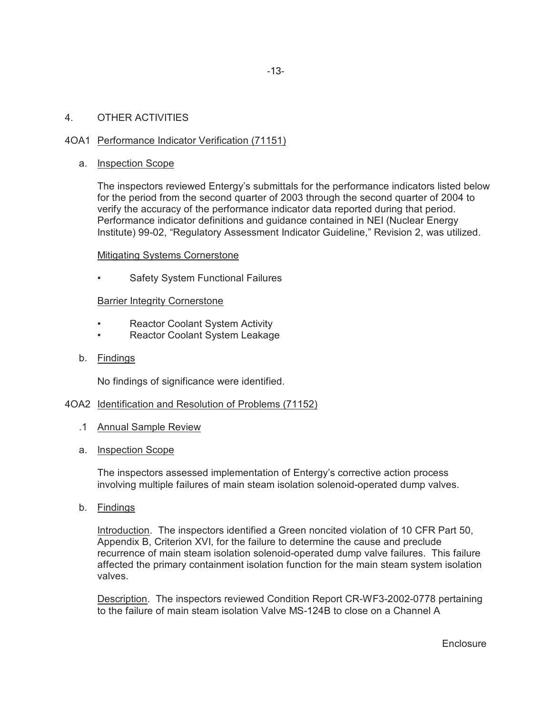### 4. OTHER ACTIVITIES

## 4OA1 Performance Indicator Verification (71151)

### a. Inspection Scope

The inspectors reviewed Entergy's submittals for the performance indicators listed below for the period from the second quarter of 2003 through the second quarter of 2004 to verify the accuracy of the performance indicator data reported during that period. Performance indicator definitions and guidance contained in NEI (Nuclear Energy Institute) 99-02, "Regulatory Assessment Indicator Guideline," Revision 2, was utilized.

### Mitigating Systems Cornerstone

Safety System Functional Failures

### Barrier Integrity Cornerstone

- Reactor Coolant System Activity
- Reactor Coolant System Leakage
- b. Findings

No findings of significance were identified.

### 4OA2 Identification and Resolution of Problems (71152)

- .1 Annual Sample Review
- a. Inspection Scope

The inspectors assessed implementation of Entergy's corrective action process involving multiple failures of main steam isolation solenoid-operated dump valves.

b. Findings

Introduction. The inspectors identified a Green noncited violation of 10 CFR Part 50, Appendix B, Criterion XVI, for the failure to determine the cause and preclude recurrence of main steam isolation solenoid-operated dump valve failures. This failure affected the primary containment isolation function for the main steam system isolation valves.

Description. The inspectors reviewed Condition Report CR-WF3-2002-0778 pertaining to the failure of main steam isolation Valve MS-124B to close on a Channel A

**Enclosure**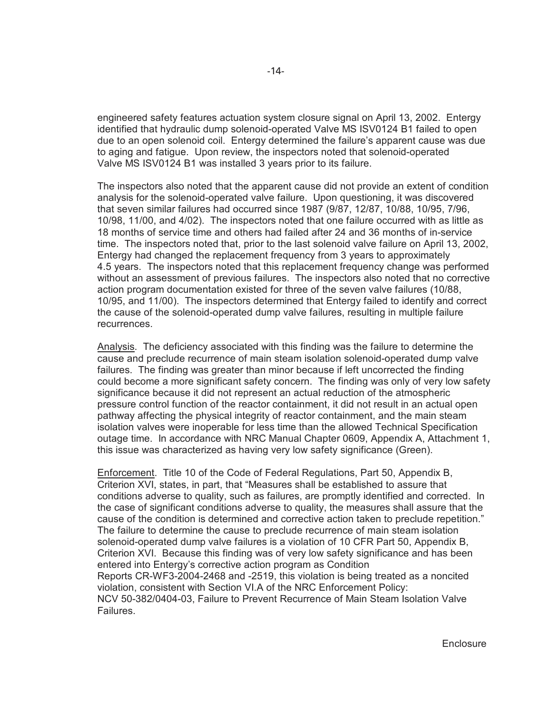engineered safety features actuation system closure signal on April 13, 2002. Entergy identified that hydraulic dump solenoid-operated Valve MS ISV0124 B1 failed to open due to an open solenoid coil. Entergy determined the failure's apparent cause was due to aging and fatigue. Upon review, the inspectors noted that solenoid-operated Valve MS ISV0124 B1 was installed 3 years prior to its failure.

The inspectors also noted that the apparent cause did not provide an extent of condition analysis for the solenoid-operated valve failure. Upon questioning, it was discovered that seven similar failures had occurred since 1987 (9/87, 12/87, 10/88, 10/95, 7/96, 10/98, 11/00, and 4/02). The inspectors noted that one failure occurred with as little as 18 months of service time and others had failed after 24 and 36 months of in-service time. The inspectors noted that, prior to the last solenoid valve failure on April 13, 2002, Entergy had changed the replacement frequency from 3 years to approximately 4.5 years. The inspectors noted that this replacement frequency change was performed without an assessment of previous failures. The inspectors also noted that no corrective action program documentation existed for three of the seven valve failures (10/88, 10/95, and 11/00). The inspectors determined that Entergy failed to identify and correct the cause of the solenoid-operated dump valve failures, resulting in multiple failure recurrences.

Analysis. The deficiency associated with this finding was the failure to determine the cause and preclude recurrence of main steam isolation solenoid-operated dump valve failures. The finding was greater than minor because if left uncorrected the finding could become a more significant safety concern. The finding was only of very low safety significance because it did not represent an actual reduction of the atmospheric pressure control function of the reactor containment, it did not result in an actual open pathway affecting the physical integrity of reactor containment, and the main steam isolation valves were inoperable for less time than the allowed Technical Specification outage time. In accordance with NRC Manual Chapter 0609, Appendix A, Attachment 1, this issue was characterized as having very low safety significance (Green).

Enforcement. Title 10 of the Code of Federal Regulations, Part 50, Appendix B, Criterion XVI, states, in part, that "Measures shall be established to assure that conditions adverse to quality, such as failures, are promptly identified and corrected. In the case of significant conditions adverse to quality, the measures shall assure that the cause of the condition is determined and corrective action taken to preclude repetition." The failure to determine the cause to preclude recurrence of main steam isolation solenoid-operated dump valve failures is a violation of 10 CFR Part 50, Appendix B, Criterion XVI. Because this finding was of very low safety significance and has been entered into Entergy's corrective action program as Condition Reports CR-WF3-2004-2468 and -2519, this violation is being treated as a noncited violation, consistent with Section VI.A of the NRC Enforcement Policy: NCV 50-382/0404-03, Failure to Prevent Recurrence of Main Steam Isolation Valve Failures.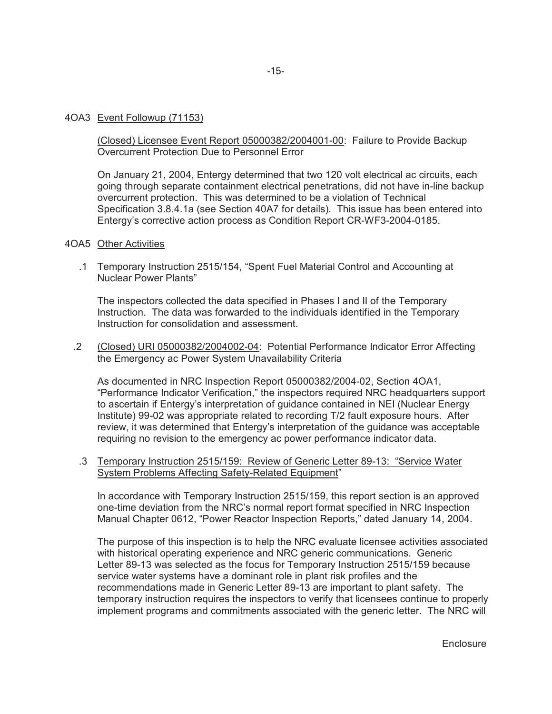### 4OA3 Event Followup (71153)

(Closed) Licensee Event Report 05000382/2004001-00: Failure to Provide Backup Overcurrent Protection Due to Personnel Error

On January 21, 2004, Entergy determined that two 120 volt electrical ac circuits, each going through separate containment electrical penetrations, did not have in-line backup overcurrent protection. This was determined to be a violation of Technical Specification 3.8.4.1a (see Section 40A7 for details). This issue has been entered into Entergy's corrective action process as Condition Report CR-WF3-2004-0185.

#### 4OA5 Other Activities

 .1 Temporary Instruction 2515/154, "Spent Fuel Material Control and Accounting at Nuclear Power Plants"

The inspectors collected the data specified in Phases I and II of the Temporary Instruction. The data was forwarded to the individuals identified in the Temporary Instruction for consolidation and assessment.

 .2 (Closed) URI 05000382/2004002-04: Potential Performance Indicator Error Affecting the Emergency ac Power System Unavailability Criteria

As documented in NRC Inspection Report 05000382/2004-02, Section 4OA1, "Performance Indicator Verification," the inspectors required NRC headquarters support to ascertain if Entergy's interpretation of guidance contained in NEI (Nuclear Energy Institute) 99-02 was appropriate related to recording T/2 fault exposure hours. After review, it was determined that Entergy's interpretation of the guidance was acceptable requiring no revision to the emergency ac power performance indicator data.

 .3 Temporary Instruction 2515/159: Review of Generic Letter 89-13: "Service Water System Problems Affecting Safety-Related Equipment"

In accordance with Temporary Instruction 2515/159, this report section is an approved one-time deviation from the NRC's normal report format specified in NRC Inspection Manual Chapter 0612, "Power Reactor Inspection Reports," dated January 14, 2004.

The purpose of this inspection is to help the NRC evaluate licensee activities associated with historical operating experience and NRC generic communications. Generic Letter 89-13 was selected as the focus for Temporary Instruction 2515/159 because service water systems have a dominant role in plant risk profiles and the recommendations made in Generic Letter 89-13 are important to plant safety. The temporary instruction requires the inspectors to verify that licensees continue to properly implement programs and commitments associated with the generic letter. The NRC will

**Enclosure**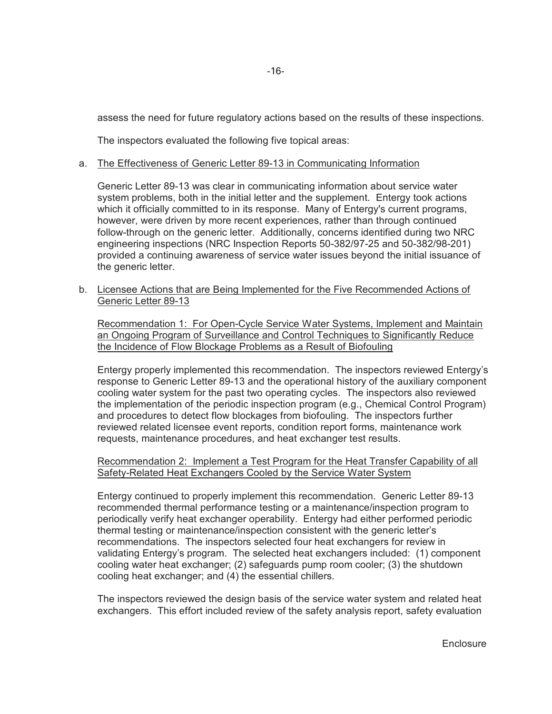assess the need for future regulatory actions based on the results of these inspections.

The inspectors evaluated the following five topical areas:

### a. The Effectiveness of Generic Letter 89-13 in Communicating Information

Generic Letter 89-13 was clear in communicating information about service water system problems, both in the initial letter and the supplement. Entergy took actions which it officially committed to in its response. Many of Entergy's current programs, however, were driven by more recent experiences, rather than through continued follow-through on the generic letter. Additionally, concerns identified during two NRC engineering inspections (NRC Inspection Reports 50-382/97-25 and 50-382/98-201) provided a continuing awareness of service water issues beyond the initial issuance of the generic letter.

 b. Licensee Actions that are Being Implemented for the Five Recommended Actions of Generic Letter 89-13

Recommendation 1: For Open-Cycle Service Water Systems, Implement and Maintain an Ongoing Program of Surveillance and Control Techniques to Significantly Reduce the Incidence of Flow Blockage Problems as a Result of Biofouling

Entergy properly implemented this recommendation. The inspectors reviewed Entergy's response to Generic Letter 89-13 and the operational history of the auxiliary component cooling water system for the past two operating cycles. The inspectors also reviewed the implementation of the periodic inspection program (e.g., Chemical Control Program) and procedures to detect flow blockages from biofouling. The inspectors further reviewed related licensee event reports, condition report forms, maintenance work requests, maintenance procedures, and heat exchanger test results.

Recommendation 2: Implement a Test Program for the Heat Transfer Capability of all Safety-Related Heat Exchangers Cooled by the Service Water System

Entergy continued to properly implement this recommendation. Generic Letter 89-13 recommended thermal performance testing or a maintenance/inspection program to periodically verify heat exchanger operability. Entergy had either performed periodic thermal testing or maintenance/inspection consistent with the generic letter's recommendations. The inspectors selected four heat exchangers for review in validating Entergy's program. The selected heat exchangers included: (1) component cooling water heat exchanger; (2) safeguards pump room cooler; (3) the shutdown cooling heat exchanger; and (4) the essential chillers.

The inspectors reviewed the design basis of the service water system and related heat exchangers. This effort included review of the safety analysis report, safety evaluation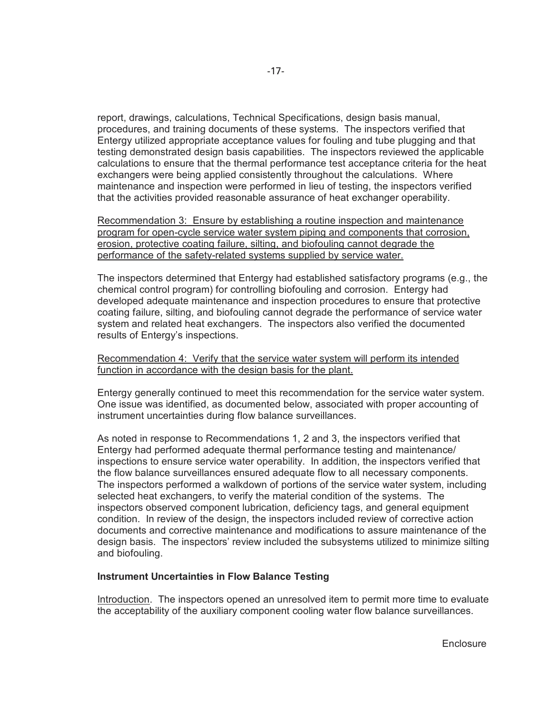report, drawings, calculations, Technical Specifications, design basis manual, procedures, and training documents of these systems. The inspectors verified that Entergy utilized appropriate acceptance values for fouling and tube plugging and that testing demonstrated design basis capabilities. The inspectors reviewed the applicable calculations to ensure that the thermal performance test acceptance criteria for the heat exchangers were being applied consistently throughout the calculations. Where maintenance and inspection were performed in lieu of testing, the inspectors verified that the activities provided reasonable assurance of heat exchanger operability.

Recommendation 3: Ensure by establishing a routine inspection and maintenance program for open-cycle service water system piping and components that corrosion, erosion, protective coating failure, silting, and biofouling cannot degrade the performance of the safety-related systems supplied by service water.

The inspectors determined that Entergy had established satisfactory programs (e.g., the chemical control program) for controlling biofouling and corrosion. Entergy had developed adequate maintenance and inspection procedures to ensure that protective coating failure, silting, and biofouling cannot degrade the performance of service water system and related heat exchangers. The inspectors also verified the documented results of Entergy's inspections.

Recommendation 4: Verify that the service water system will perform its intended function in accordance with the design basis for the plant.

Entergy generally continued to meet this recommendation for the service water system. One issue was identified, as documented below, associated with proper accounting of instrument uncertainties during flow balance surveillances.

As noted in response to Recommendations 1, 2 and 3, the inspectors verified that Entergy had performed adequate thermal performance testing and maintenance/ inspections to ensure service water operability. In addition, the inspectors verified that the flow balance surveillances ensured adequate flow to all necessary components. The inspectors performed a walkdown of portions of the service water system, including selected heat exchangers, to verify the material condition of the systems. The inspectors observed component lubrication, deficiency tags, and general equipment condition. In review of the design, the inspectors included review of corrective action documents and corrective maintenance and modifications to assure maintenance of the design basis. The inspectors' review included the subsystems utilized to minimize silting and biofouling.

### **Instrument Uncertainties in Flow Balance Testing**

Introduction. The inspectors opened an unresolved item to permit more time to evaluate the acceptability of the auxiliary component cooling water flow balance surveillances.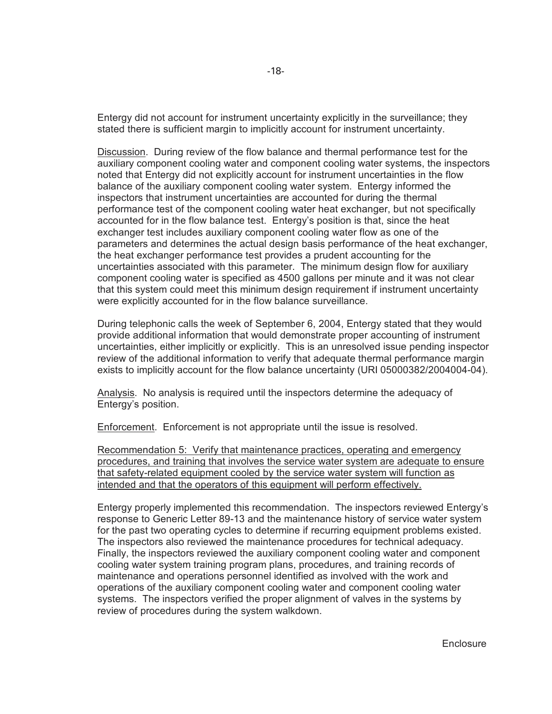Entergy did not account for instrument uncertainty explicitly in the surveillance; they stated there is sufficient margin to implicitly account for instrument uncertainty.

Discussion. During review of the flow balance and thermal performance test for the auxiliary component cooling water and component cooling water systems, the inspectors noted that Entergy did not explicitly account for instrument uncertainties in the flow balance of the auxiliary component cooling water system. Entergy informed the inspectors that instrument uncertainties are accounted for during the thermal performance test of the component cooling water heat exchanger, but not specifically accounted for in the flow balance test. Entergy's position is that, since the heat exchanger test includes auxiliary component cooling water flow as one of the parameters and determines the actual design basis performance of the heat exchanger, the heat exchanger performance test provides a prudent accounting for the uncertainties associated with this parameter. The minimum design flow for auxiliary component cooling water is specified as 4500 gallons per minute and it was not clear that this system could meet this minimum design requirement if instrument uncertainty were explicitly accounted for in the flow balance surveillance.

During telephonic calls the week of September 6, 2004, Entergy stated that they would provide additional information that would demonstrate proper accounting of instrument uncertainties, either implicitly or explicitly. This is an unresolved issue pending inspector review of the additional information to verify that adequate thermal performance margin exists to implicitly account for the flow balance uncertainty (URI 05000382/2004004-04).

Analysis. No analysis is required until the inspectors determine the adequacy of Entergy's position.

Enforcement. Enforcement is not appropriate until the issue is resolved.

Recommendation 5: Verify that maintenance practices, operating and emergency procedures, and training that involves the service water system are adequate to ensure that safety-related equipment cooled by the service water system will function as intended and that the operators of this equipment will perform effectively.

Entergy properly implemented this recommendation. The inspectors reviewed Entergy's response to Generic Letter 89-13 and the maintenance history of service water system for the past two operating cycles to determine if recurring equipment problems existed. The inspectors also reviewed the maintenance procedures for technical adequacy. Finally, the inspectors reviewed the auxiliary component cooling water and component cooling water system training program plans, procedures, and training records of maintenance and operations personnel identified as involved with the work and operations of the auxiliary component cooling water and component cooling water systems. The inspectors verified the proper alignment of valves in the systems by review of procedures during the system walkdown.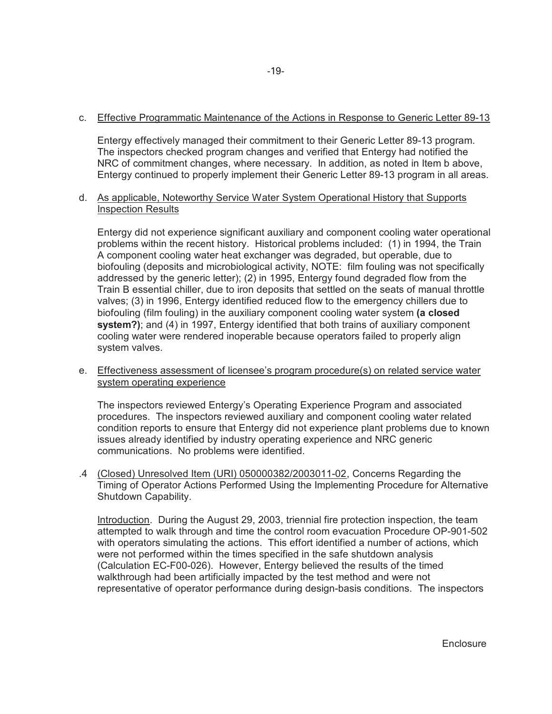## c. Effective Programmatic Maintenance of the Actions in Response to Generic Letter 89-13

Entergy effectively managed their commitment to their Generic Letter 89-13 program. The inspectors checked program changes and verified that Entergy had notified the NRC of commitment changes, where necessary. In addition, as noted in Item b above, Entergy continued to properly implement their Generic Letter 89-13 program in all areas.

### d. As applicable, Noteworthy Service Water System Operational History that Supports Inspection Results

Entergy did not experience significant auxiliary and component cooling water operational problems within the recent history. Historical problems included: (1) in 1994, the Train A component cooling water heat exchanger was degraded, but operable, due to biofouling (deposits and microbiological activity, NOTE: film fouling was not specifically addressed by the generic letter); (2) in 1995, Entergy found degraded flow from the Train B essential chiller, due to iron deposits that settled on the seats of manual throttle valves; (3) in 1996, Entergy identified reduced flow to the emergency chillers due to biofouling (film fouling) in the auxiliary component cooling water system **(a closed system?)**; and (4) in 1997, Entergy identified that both trains of auxiliary component cooling water were rendered inoperable because operators failed to properly align system valves.

## e. Effectiveness assessment of licensee's program procedure(s) on related service water system operating experience

The inspectors reviewed Entergy's Operating Experience Program and associated procedures. The inspectors reviewed auxiliary and component cooling water related condition reports to ensure that Entergy did not experience plant problems due to known issues already identified by industry operating experience and NRC generic communications. No problems were identified.

 .4 (Closed) Unresolved Item (URI) 050000382/2003011-02, Concerns Regarding the Timing of Operator Actions Performed Using the Implementing Procedure for Alternative Shutdown Capability.

Introduction. During the August 29, 2003, triennial fire protection inspection, the team attempted to walk through and time the control room evacuation Procedure OP-901-502 with operators simulating the actions. This effort identified a number of actions, which were not performed within the times specified in the safe shutdown analysis (Calculation EC-F00-026). However, Entergy believed the results of the timed walkthrough had been artificially impacted by the test method and were not representative of operator performance during design-basis conditions. The inspectors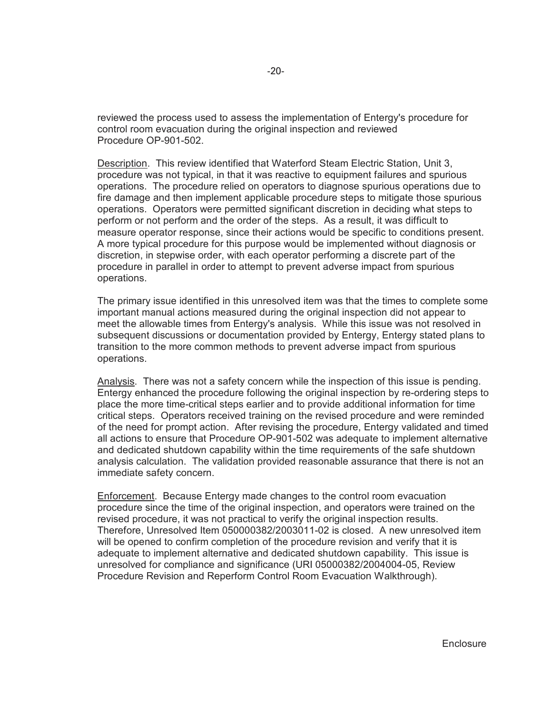reviewed the process used to assess the implementation of Entergy's procedure for control room evacuation during the original inspection and reviewed Procedure OP-901-502.

Description. This review identified that Waterford Steam Electric Station, Unit 3, procedure was not typical, in that it was reactive to equipment failures and spurious operations. The procedure relied on operators to diagnose spurious operations due to fire damage and then implement applicable procedure steps to mitigate those spurious operations. Operators were permitted significant discretion in deciding what steps to perform or not perform and the order of the steps. As a result, it was difficult to measure operator response, since their actions would be specific to conditions present. A more typical procedure for this purpose would be implemented without diagnosis or discretion, in stepwise order, with each operator performing a discrete part of the procedure in parallel in order to attempt to prevent adverse impact from spurious operations.

The primary issue identified in this unresolved item was that the times to complete some important manual actions measured during the original inspection did not appear to meet the allowable times from Entergy's analysis. While this issue was not resolved in subsequent discussions or documentation provided by Entergy, Entergy stated plans to transition to the more common methods to prevent adverse impact from spurious operations.

Analysis. There was not a safety concern while the inspection of this issue is pending. Entergy enhanced the procedure following the original inspection by re-ordering steps to place the more time-critical steps earlier and to provide additional information for time critical steps. Operators received training on the revised procedure and were reminded of the need for prompt action. After revising the procedure, Entergy validated and timed all actions to ensure that Procedure OP-901-502 was adequate to implement alternative and dedicated shutdown capability within the time requirements of the safe shutdown analysis calculation. The validation provided reasonable assurance that there is not an immediate safety concern.

Enforcement. Because Entergy made changes to the control room evacuation procedure since the time of the original inspection, and operators were trained on the revised procedure, it was not practical to verify the original inspection results. Therefore, Unresolved Item 050000382/2003011-02 is closed. A new unresolved item will be opened to confirm completion of the procedure revision and verify that it is adequate to implement alternative and dedicated shutdown capability. This issue is unresolved for compliance and significance (URI 05000382/2004004-05, Review Procedure Revision and Reperform Control Room Evacuation Walkthrough).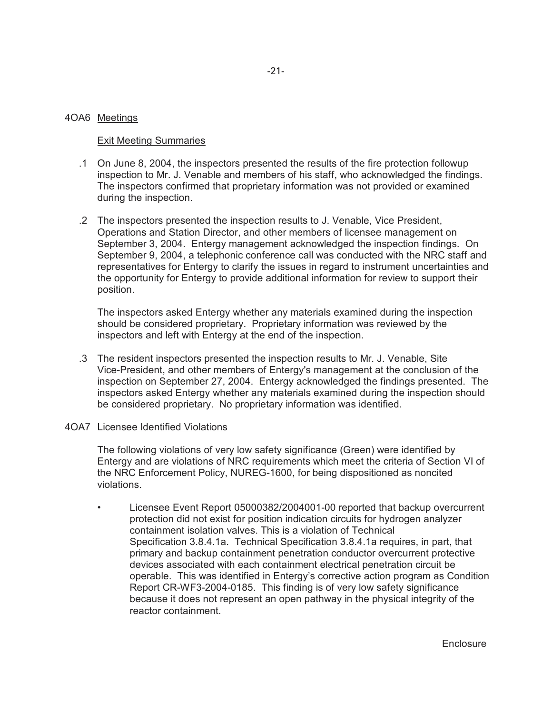### 4OA6 Meetings

### Exit Meeting Summaries

- .1 On June 8, 2004, the inspectors presented the results of the fire protection followup inspection to Mr. J. Venable and members of his staff, who acknowledged the findings. The inspectors confirmed that proprietary information was not provided or examined during the inspection.
- .2 The inspectors presented the inspection results to J. Venable, Vice President, Operations and Station Director, and other members of licensee management on September 3, 2004. Entergy management acknowledged the inspection findings. On September 9, 2004, a telephonic conference call was conducted with the NRC staff and representatives for Entergy to clarify the issues in regard to instrument uncertainties and the opportunity for Entergy to provide additional information for review to support their position.

The inspectors asked Entergy whether any materials examined during the inspection should be considered proprietary. Proprietary information was reviewed by the inspectors and left with Entergy at the end of the inspection.

 .3 The resident inspectors presented the inspection results to Mr. J. Venable, Site Vice-President, and other members of Entergy's management at the conclusion of the inspection on September 27, 2004. Entergy acknowledged the findings presented. The inspectors asked Entergy whether any materials examined during the inspection should be considered proprietary. No proprietary information was identified.

### 4OA7 Licensee Identified Violations

The following violations of very low safety significance (Green) were identified by Entergy and are violations of NRC requirements which meet the criteria of Section VI of the NRC Enforcement Policy, NUREG-1600, for being dispositioned as noncited violations.

• Licensee Event Report 05000382/2004001-00 reported that backup overcurrent protection did not exist for position indication circuits for hydrogen analyzer containment isolation valves. This is a violation of Technical Specification 3.8.4.1a. Technical Specification 3.8.4.1a requires, in part, that primary and backup containment penetration conductor overcurrent protective devices associated with each containment electrical penetration circuit be operable. This was identified in Entergy's corrective action program as Condition Report CR-WF3-2004-0185. This finding is of very low safety significance because it does not represent an open pathway in the physical integrity of the reactor containment.

**Enclosure**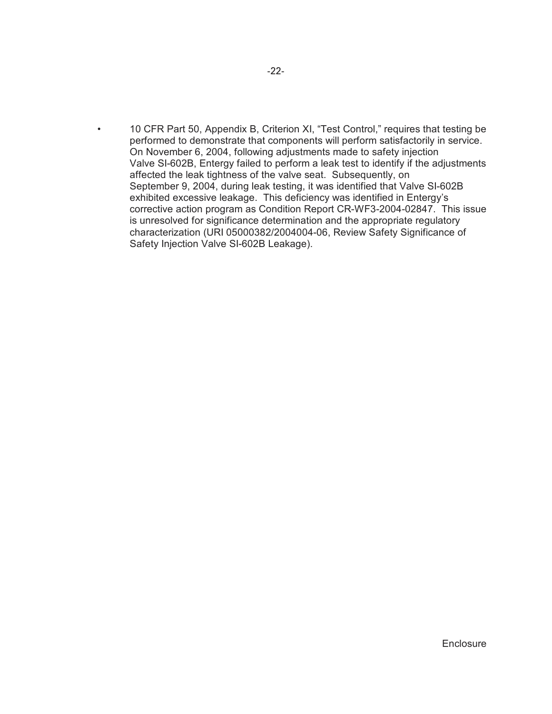• 10 CFR Part 50, Appendix B, Criterion XI, "Test Control," requires that testing be performed to demonstrate that components will perform satisfactorily in service. On November 6, 2004, following adjustments made to safety injection Valve SI-602B, Entergy failed to perform a leak test to identify if the adjustments affected the leak tightness of the valve seat. Subsequently, on September 9, 2004, during leak testing, it was identified that Valve SI-602B exhibited excessive leakage. This deficiency was identified in Entergy's corrective action program as Condition Report CR-WF3-2004-02847. This issue is unresolved for significance determination and the appropriate regulatory characterization (URI 05000382/2004004-06, Review Safety Significance of Safety Injection Valve SI-602B Leakage).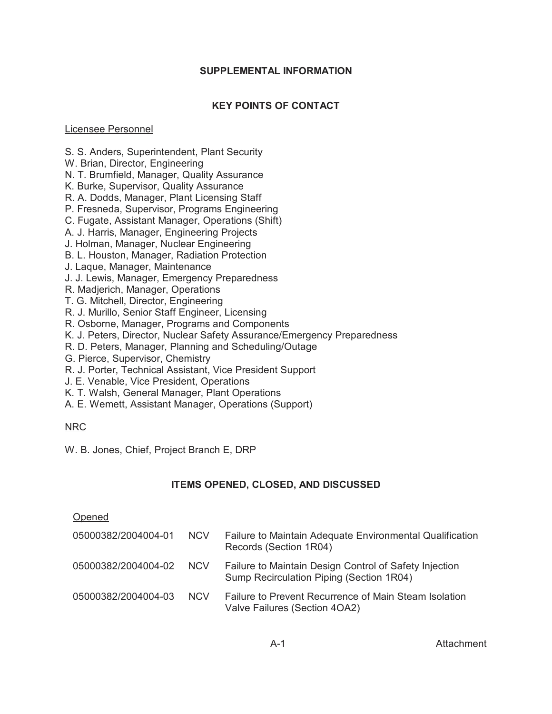# **SUPPLEMENTAL INFORMATION**

# **KEY POINTS OF CONTACT**

## Licensee Personnel

- S. S. Anders, Superintendent, Plant Security
- W. Brian, Director, Engineering
- N. T. Brumfield, Manager, Quality Assurance
- K. Burke, Supervisor, Quality Assurance
- R. A. Dodds, Manager, Plant Licensing Staff
- P. Fresneda, Supervisor, Programs Engineering
- C. Fugate, Assistant Manager, Operations (Shift)
- A. J. Harris, Manager, Engineering Projects
- J. Holman, Manager, Nuclear Engineering
- B. L. Houston, Manager, Radiation Protection
- J. Laque, Manager, Maintenance
- J. J. Lewis, Manager, Emergency Preparedness
- R. Madjerich, Manager, Operations
- T. G. Mitchell, Director, Engineering
- R. J. Murillo, Senior Staff Engineer, Licensing
- R. Osborne, Manager, Programs and Components
- K. J. Peters, Director, Nuclear Safety Assurance/Emergency Preparedness
- R. D. Peters, Manager, Planning and Scheduling/Outage
- G. Pierce, Supervisor, Chemistry
- R. J. Porter, Technical Assistant, Vice President Support
- J. E. Venable, Vice President, Operations
- K. T. Walsh, General Manager, Plant Operations
- A. E. Wemett, Assistant Manager, Operations (Support)

# NRC

W. B. Jones, Chief, Project Branch E, DRP

# **ITEMS OPENED, CLOSED, AND DISCUSSED**

# Opened

| 05000382/2004004-01 | <b>NCV</b>      | Failure to Maintain Adequate Environmental Qualification<br>Records (Section 1R04)                 |
|---------------------|-----------------|----------------------------------------------------------------------------------------------------|
| 05000382/2004004-02 | NCV <sub></sub> | Failure to Maintain Design Control of Safety Injection<br>Sump Recirculation Piping (Section 1R04) |
| 05000382/2004004-03 | <b>NCV</b>      | Failure to Prevent Recurrence of Main Steam Isolation<br>Valve Failures (Section 4OA2)             |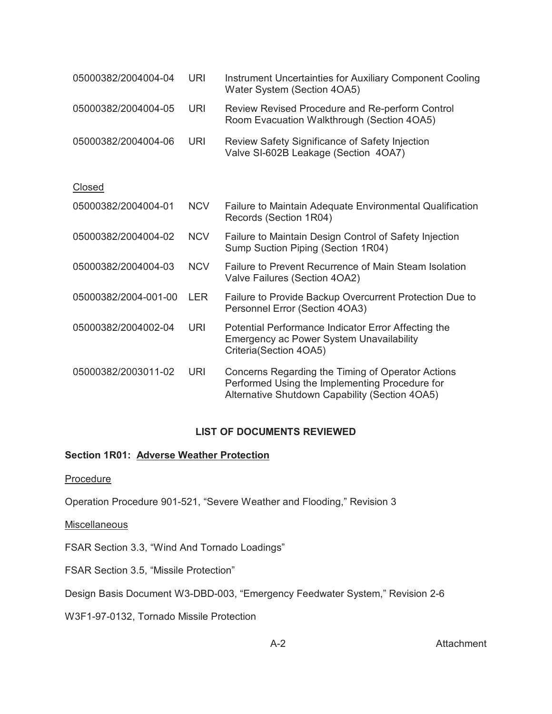| 05000382/2004004-04  | <b>URI</b> | Instrument Uncertainties for Auxiliary Component Cooling<br>Water System (Section 4OA5)                                          |
|----------------------|------------|----------------------------------------------------------------------------------------------------------------------------------|
| 05000382/2004004-05  | URI        | Review Revised Procedure and Re-perform Control<br>Room Evacuation Walkthrough (Section 4OA5)                                    |
| 05000382/2004004-06  | URI        | Review Safety Significance of Safety Injection<br>Valve SI-602B Leakage (Section 4OA7)                                           |
| Closed               |            |                                                                                                                                  |
| 05000382/2004004-01  | <b>NCV</b> | Failure to Maintain Adequate Environmental Qualification<br>Records (Section 1R04)                                               |
| 05000382/2004004-02  | <b>NCV</b> | Failure to Maintain Design Control of Safety Injection<br>Sump Suction Piping (Section 1R04)                                     |
| 05000382/2004004-03  | <b>NCV</b> | Failure to Prevent Recurrence of Main Steam Isolation<br>Valve Failures (Section 4OA2)                                           |
| 05000382/2004-001-00 | <b>LER</b> | Failure to Provide Backup Overcurrent Protection Due to<br>Personnel Error (Section 4OA3)                                        |
| 05000382/2004002-04  | URI        | Potential Performance Indicator Error Affecting the<br><b>Emergency ac Power System Unavailability</b><br>Criteria(Section 4OA5) |

05000382/2003011-02 URI Concerns Regarding the Timing of Operator Actions Performed Using the Implementing Procedure for Alternative Shutdown Capability (Section 4OA5)

# **LIST OF DOCUMENTS REVIEWED**

### **Section 1R01: Adverse Weather Protection**

### Procedure

Operation Procedure 901-521, "Severe Weather and Flooding," Revision 3

### **Miscellaneous**

FSAR Section 3.3, "Wind And Tornado Loadings"

FSAR Section 3.5, "Missile Protection"

Design Basis Document W3-DBD-003, "Emergency Feedwater System," Revision 2-6

W3F1-97-0132, Tornado Missile Protection

A-2 Attachment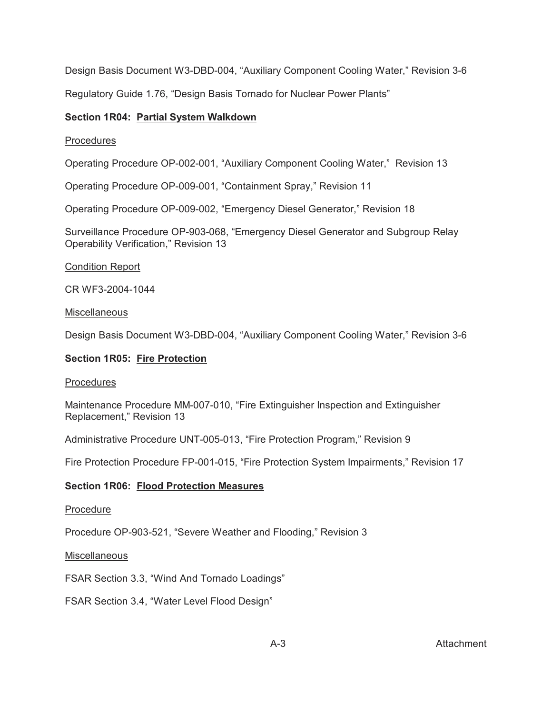Design Basis Document W3-DBD-004, "Auxiliary Component Cooling Water," Revision 3-6

Regulatory Guide 1.76, "Design Basis Tornado for Nuclear Power Plants"

# **Section 1R04: Partial System Walkdown**

# Procedures

Operating Procedure OP-002-001, "Auxiliary Component Cooling Water," Revision 13

Operating Procedure OP-009-001, "Containment Spray," Revision 11

Operating Procedure OP-009-002, "Emergency Diesel Generator," Revision 18

Surveillance Procedure OP-903-068, "Emergency Diesel Generator and Subgroup Relay Operability Verification," Revision 13

## Condition Report

CR WF3-2004-1044

## Miscellaneous

Design Basis Document W3-DBD-004, "Auxiliary Component Cooling Water," Revision 3-6

## **Section 1R05: Fire Protection**

### Procedures

Maintenance Procedure MM-007-010, "Fire Extinguisher Inspection and Extinguisher Replacement," Revision 13

Administrative Procedure UNT-005-013, "Fire Protection Program," Revision 9

Fire Protection Procedure FP-001-015, "Fire Protection System Impairments," Revision 17

# **Section 1R06: Flood Protection Measures**

### Procedure

Procedure OP-903-521, "Severe Weather and Flooding," Revision 3

### Miscellaneous

FSAR Section 3.3, "Wind And Tornado Loadings"

FSAR Section 3.4, "Water Level Flood Design"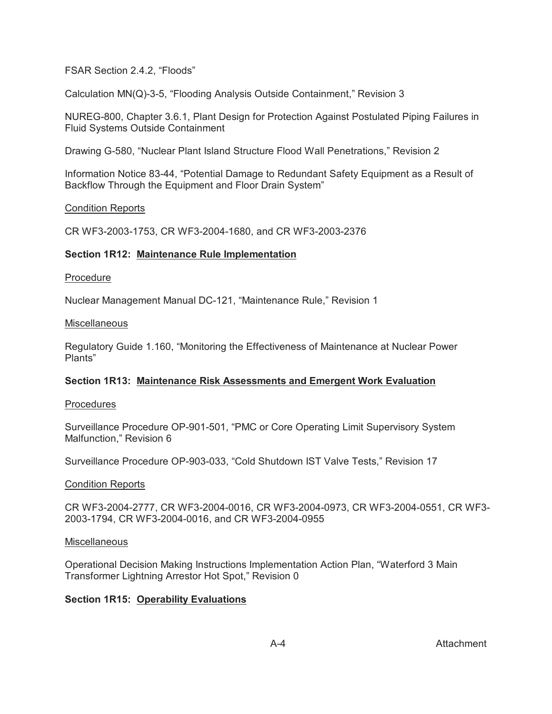FSAR Section 2.4.2, "Floods"

Calculation MN(Q)-3-5, "Flooding Analysis Outside Containment," Revision 3

NUREG-800, Chapter 3.6.1, Plant Design for Protection Against Postulated Piping Failures in Fluid Systems Outside Containment

Drawing G-580, "Nuclear Plant Island Structure Flood Wall Penetrations," Revision 2

Information Notice 83-44, "Potential Damage to Redundant Safety Equipment as a Result of Backflow Through the Equipment and Floor Drain System"

## Condition Reports

CR WF3-2003-1753, CR WF3-2004-1680, and CR WF3-2003-2376

## **Section 1R12: Maintenance Rule Implementation**

### Procedure

Nuclear Management Manual DC-121, "Maintenance Rule," Revision 1

### Miscellaneous

Regulatory Guide 1.160, "Monitoring the Effectiveness of Maintenance at Nuclear Power Plants"

# **Section 1R13: Maintenance Risk Assessments and Emergent Work Evaluation**

### Procedures

Surveillance Procedure OP-901-501, "PMC or Core Operating Limit Supervisory System Malfunction," Revision 6

Surveillance Procedure OP-903-033, "Cold Shutdown IST Valve Tests," Revision 17

### Condition Reports

CR WF3-2004-2777, CR WF3-2004-0016, CR WF3-2004-0973, CR WF3-2004-0551, CR WF3- 2003-1794, CR WF3-2004-0016, and CR WF3-2004-0955

### **Miscellaneous**

Operational Decision Making Instructions Implementation Action Plan, "Waterford 3 Main Transformer Lightning Arrestor Hot Spot," Revision 0

# **Section 1R15: Operability Evaluations**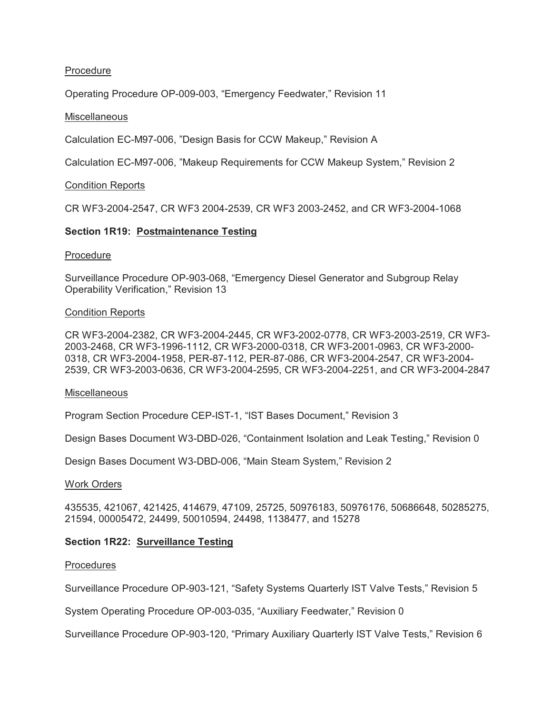## **Procedure**

Operating Procedure OP-009-003, "Emergency Feedwater," Revision 11

### Miscellaneous

Calculation EC-M97-006, "Design Basis for CCW Makeup," Revision A

Calculation EC-M97-006, "Makeup Requirements for CCW Makeup System," Revision 2

### Condition Reports

CR WF3-2004-2547, CR WF3 2004-2539, CR WF3 2003-2452, and CR WF3-2004-1068

### **Section 1R19: Postmaintenance Testing**

### **Procedure**

Surveillance Procedure OP-903-068, "Emergency Diesel Generator and Subgroup Relay Operability Verification," Revision 13

### Condition Reports

CR WF3-2004-2382, CR WF3-2004-2445, CR WF3-2002-0778, CR WF3-2003-2519, CR WF3- 2003-2468, CR WF3-1996-1112, CR WF3-2000-0318, CR WF3-2001-0963, CR WF3-2000- 0318, CR WF3-2004-1958, PER-87-112, PER-87-086, CR WF3-2004-2547, CR WF3-2004- 2539, CR WF3-2003-0636, CR WF3-2004-2595, CR WF3-2004-2251, and CR WF3-2004-2847

#### **Miscellaneous**

Program Section Procedure CEP-IST-1, "IST Bases Document," Revision 3

Design Bases Document W3-DBD-026, "Containment Isolation and Leak Testing," Revision 0

Design Bases Document W3-DBD-006, "Main Steam System," Revision 2

#### Work Orders

435535, 421067, 421425, 414679, 47109, 25725, 50976183, 50976176, 50686648, 50285275, 21594, 00005472, 24499, 50010594, 24498, 1138477, and 15278

### **Section 1R22: Surveillance Testing**

### **Procedures**

Surveillance Procedure OP-903-121, "Safety Systems Quarterly IST Valve Tests," Revision 5

System Operating Procedure OP-003-035, "Auxiliary Feedwater," Revision 0

Surveillance Procedure OP-903-120, "Primary Auxiliary Quarterly IST Valve Tests," Revision 6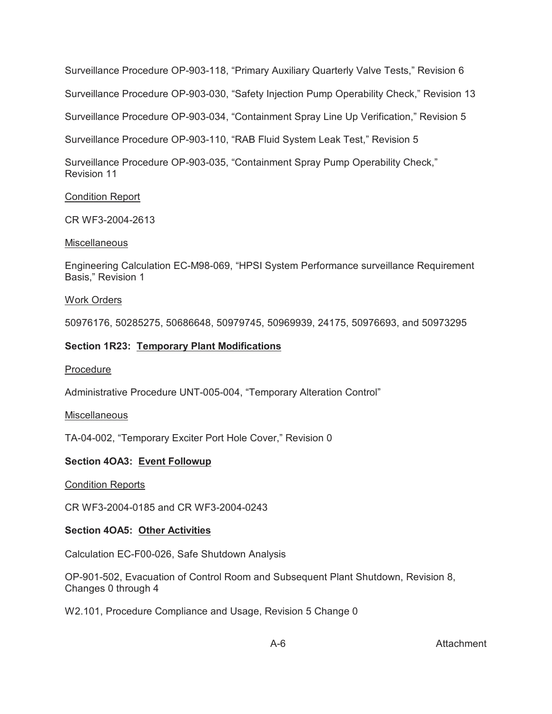Surveillance Procedure OP-903-118, "Primary Auxiliary Quarterly Valve Tests," Revision 6

Surveillance Procedure OP-903-030, "Safety Injection Pump Operability Check," Revision 13

Surveillance Procedure OP-903-034, "Containment Spray Line Up Verification," Revision 5

Surveillance Procedure OP-903-110, "RAB Fluid System Leak Test," Revision 5

Surveillance Procedure OP-903-035, "Containment Spray Pump Operability Check," Revision 11

## Condition Report

CR WF3-2004-2613

## **Miscellaneous**

Engineering Calculation EC-M98-069, "HPSI System Performance surveillance Requirement Basis," Revision 1

# Work Orders

50976176, 50285275, 50686648, 50979745, 50969939, 24175, 50976693, and 50973295

# **Section 1R23: Temporary Plant Modifications**

# Procedure

Administrative Procedure UNT-005-004, "Temporary Alteration Control"

# **Miscellaneous**

TA-04-002, "Temporary Exciter Port Hole Cover," Revision 0

# **Section 4OA3: Event Followup**

# Condition Reports

CR WF3-2004-0185 and CR WF3-2004-0243

# **Section 4OA5: Other Activities**

Calculation EC-F00-026, Safe Shutdown Analysis

OP-901-502, Evacuation of Control Room and Subsequent Plant Shutdown, Revision 8, Changes 0 through 4

W2.101, Procedure Compliance and Usage, Revision 5 Change 0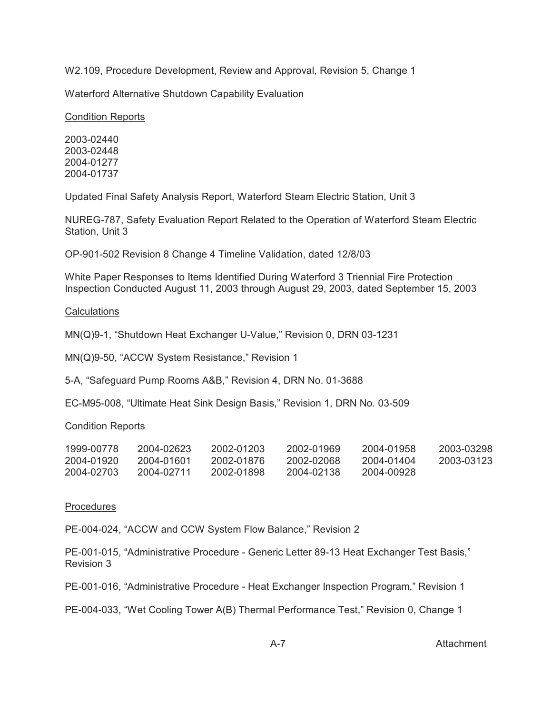W2.109, Procedure Development, Review and Approval, Revision 5, Change 1

Waterford Alternative Shutdown Capability Evaluation

Condition Reports

2003-02440 2003-02448 2004-01277 2004-01737

Updated Final Safety Analysis Report, Waterford Steam Electric Station, Unit 3

NUREG-787, Safety Evaluation Report Related to the Operation of Waterford Steam Electric Station, Unit 3

OP-901-502 Revision 8 Change 4 Timeline Validation, dated 12/8/03

White Paper Responses to Items Identified During Waterford 3 Triennial Fire Protection Inspection Conducted August 11, 2003 through August 29, 2003, dated September 15, 2003

**Calculations** 

MN(Q)9-1, "Shutdown Heat Exchanger U-Value," Revision 0, DRN 03-1231

MN(Q)9-50, "ACCW System Resistance," Revision 1

5-A, "Safeguard Pump Rooms A&B," Revision 4, DRN No. 01-3688

EC-M95-008, "Ultimate Heat Sink Design Basis," Revision 1, DRN No. 03-509

### Condition Reports

| 1999-00778 | 2004-02623 | 2002-01203 | 2002-01969 | 2004-01958 | 2003-03298 |
|------------|------------|------------|------------|------------|------------|
| 2004-01920 | 2004-01601 | 2002-01876 | 2002-02068 | 2004-01404 | 2003-03123 |
| 2004-02703 | 2004-02711 | 2002-01898 | 2004-02138 | 2004-00928 |            |

### Procedures

PE-004-024, "ACCW and CCW System Flow Balance," Revision 2

PE-001-015, "Administrative Procedure - Generic Letter 89-13 Heat Exchanger Test Basis," Revision 3

PE-001-016, "Administrative Procedure - Heat Exchanger Inspection Program," Revision 1

PE-004-033, "Wet Cooling Tower A(B) Thermal Performance Test," Revision 0, Change 1

A-7 Attachment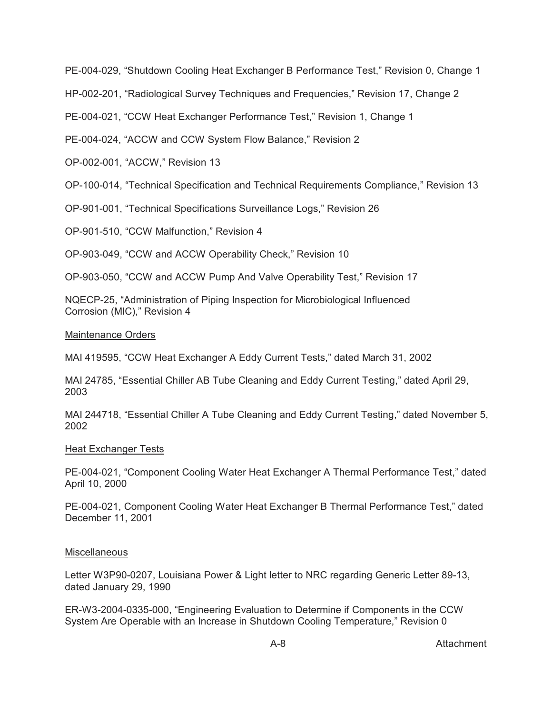PE-004-029, "Shutdown Cooling Heat Exchanger B Performance Test," Revision 0, Change 1

HP-002-201, "Radiological Survey Techniques and Frequencies," Revision 17, Change 2

PE-004-021, "CCW Heat Exchanger Performance Test," Revision 1, Change 1

PE-004-024, "ACCW and CCW System Flow Balance," Revision 2

OP-002-001, "ACCW," Revision 13

OP-100-014, "Technical Specification and Technical Requirements Compliance," Revision 13

OP-901-001, "Technical Specifications Surveillance Logs," Revision 26

OP-901-510, "CCW Malfunction," Revision 4

OP-903-049, "CCW and ACCW Operability Check," Revision 10

OP-903-050, "CCW and ACCW Pump And Valve Operability Test," Revision 17

NQECP-25, "Administration of Piping Inspection for Microbiological Influenced Corrosion (MIC)," Revision 4

## Maintenance Orders

MAI 419595, "CCW Heat Exchanger A Eddy Current Tests," dated March 31, 2002

MAI 24785, "Essential Chiller AB Tube Cleaning and Eddy Current Testing," dated April 29, 2003

MAI 244718, "Essential Chiller A Tube Cleaning and Eddy Current Testing," dated November 5, 2002

# Heat Exchanger Tests

PE-004-021, "Component Cooling Water Heat Exchanger A Thermal Performance Test," dated April 10, 2000

PE-004-021, Component Cooling Water Heat Exchanger B Thermal Performance Test," dated December 11, 2001

# Miscellaneous

Letter W3P90-0207, Louisiana Power & Light letter to NRC regarding Generic Letter 89-13, dated January 29, 1990

ER-W3-2004-0335-000, "Engineering Evaluation to Determine if Components in the CCW System Are Operable with an Increase in Shutdown Cooling Temperature," Revision 0